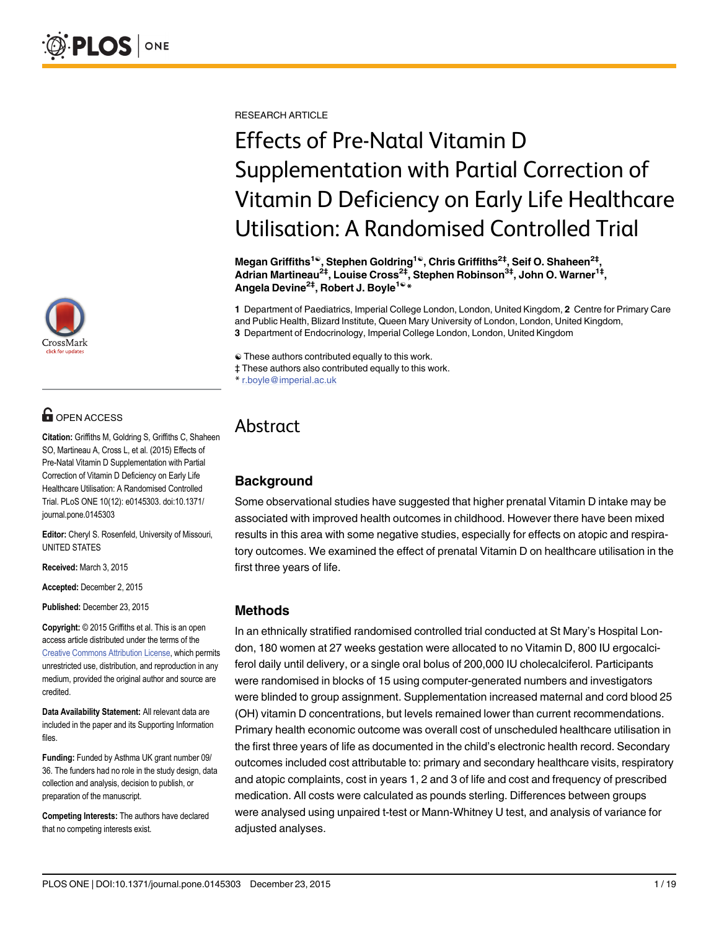

## **OPEN ACCESS**

Citation: Griffiths M, Goldring S, Griffiths C, Shaheen SO, Martineau A, Cross L, et al. (2015) Effects of Pre-Natal Vitamin D Supplementation with Partial Correction of Vitamin D Deficiency on Early Life Healthcare Utilisation: A Randomised Controlled Trial. PLoS ONE 10(12): e0145303. doi:10.1371/ journal.pone.0145303

Editor: Cheryl S. Rosenfeld, University of Missouri, UNITED STATES

Received: March 3, 2015

Accepted: December 2, 2015

Published: December 23, 2015

Copyright: © 2015 Griffiths et al. This is an open access article distributed under the terms of the [Creative Commons Attribution License,](http://creativecommons.org/licenses/by/4.0/) which permits unrestricted use, distribution, and reproduction in any medium, provided the original author and source are credited.

Data Availability Statement: All relevant data are included in the paper and its Supporting Information files.

Funding: Funded by Asthma UK grant number 09/ 36. The funders had no role in the study design, data collection and analysis, decision to publish, or preparation of the manuscript.

Competing Interests: The authors have declared that no competing interests exist.

RESEARCH ARTICLE

# Effects of Pre-Natal Vitamin D Supplementation with Partial Correction of Vitamin D Deficiency on Early Life Healthcare Utilisation: A Randomised Controlled Trial

Megan Griffiths<sup>1©</sup>, Stephen Goldring<sup>1©</sup>, Chris Griffiths<sup>2‡</sup>, Seif O. Shaheen<sup>2‡</sup>, Adrian Martineau<sup>2‡</sup>, Louise Cross<sup>2‡</sup>, Stephen Robinson<sup>3‡</sup>, John O. Warner<sup>1‡</sup>, Angela Devine<sup>2‡</sup>, Robert J. Boyle<sup>1€</sup>\*

1 Department of Paediatrics, Imperial College London, London, United Kingdom, 2 Centre for Primary Care and Public Health, Blizard Institute, Queen Mary University of London, London, United Kingdom, 3 Department of Endocrinology, Imperial College London, London, United Kingdom

☯ These authors contributed equally to this work.

‡ These authors also contributed equally to this work.

\* r.boyle@imperial.ac.uk

## Abstract

## **Background**

Some observational studies have suggested that higher prenatal Vitamin D intake may be associated with improved health outcomes in childhood. However there have been mixed results in this area with some negative studies, especially for effects on atopic and respiratory outcomes. We examined the effect of prenatal Vitamin D on healthcare utilisation in the first three years of life.

### Methods

In an ethnically stratified randomised controlled trial conducted at St Mary's Hospital London, 180 women at 27 weeks gestation were allocated to no Vitamin D, 800 IU ergocalciferol daily until delivery, or a single oral bolus of 200,000 IU cholecalciferol. Participants were randomised in blocks of 15 using computer-generated numbers and investigators were blinded to group assignment. Supplementation increased maternal and cord blood 25 (OH) vitamin D concentrations, but levels remained lower than current recommendations. Primary health economic outcome was overall cost of unscheduled healthcare utilisation in the first three years of life as documented in the child's electronic health record. Secondary outcomes included cost attributable to: primary and secondary healthcare visits, respiratory and atopic complaints, cost in years 1, 2 and 3 of life and cost and frequency of prescribed medication. All costs were calculated as pounds sterling. Differences between groups were analysed using unpaired t-test or Mann-Whitney U test, and analysis of variance for adjusted analyses.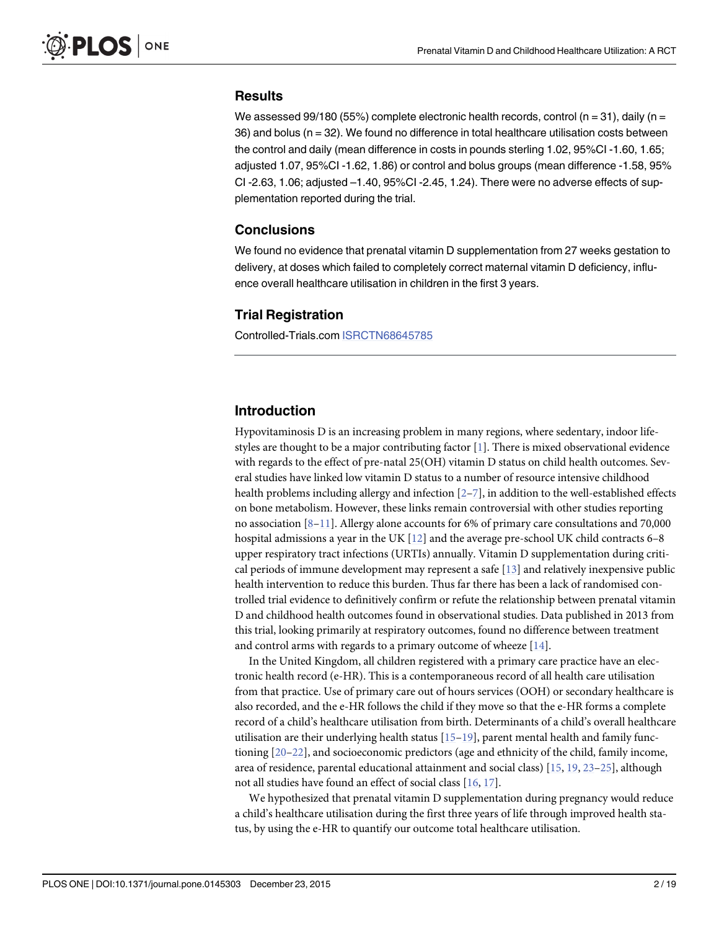#### <span id="page-1-0"></span>**Results**

We assessed 99/180 (55%) complete electronic health records, control ( $n = 31$ ), daily ( $n =$  $36$ ) and bolus ( $n = 32$ ). We found no difference in total healthcare utilisation costs between the control and daily (mean difference in costs in pounds sterling 1.02, 95%CI -1.60, 1.65; adjusted 1.07, 95%CI -1.62, 1.86) or control and bolus groups (mean difference -1.58, 95% CI -2.63, 1.06; adjusted –1.40, 95%CI -2.45, 1.24). There were no adverse effects of supplementation reported during the trial.

#### Conclusions

We found no evidence that prenatal vitamin D supplementation from 27 weeks gestation to delivery, at doses which failed to completely correct maternal vitamin D deficiency, influence overall healthcare utilisation in children in the first 3 years.

#### Trial Registration

Controlled-Trials.com [ISRCTN68645785](http://www.controlled-trials.com/ISRCTN68645785?q=ISRCTN68645785&filters=&sort=&offset=1&totalResults=1&page=1&pageSize=10&searchType�=�basic-search)

#### Introduction

Hypovitaminosis D is an increasing problem in many regions, where sedentary, indoor lifestyles are thought to be a major contributing factor  $[1]$  $[1]$  $[1]$ . There is mixed observational evidence with regards to the effect of pre-natal 25(OH) vitamin D status on child health outcomes. Several studies have linked low vitamin D status to a number of resource intensive childhood health problems including allergy and infection  $[2-7]$  $[2-7]$  $[2-7]$  $[2-7]$  $[2-7]$ , in addition to the well-established effects on bone metabolism. However, these links remain controversial with other studies reporting no association [\[8](#page-16-0)–[11\]](#page-16-0). Allergy alone accounts for 6% of primary care consultations and 70,000 hospital admissions a year in the UK [[12](#page-16-0)] and the average pre-school UK child contracts 6–8 upper respiratory tract infections (URTIs) annually. Vitamin D supplementation during critical periods of immune development may represent a safe [[13](#page-16-0)] and relatively inexpensive public health intervention to reduce this burden. Thus far there has been a lack of randomised controlled trial evidence to definitively confirm or refute the relationship between prenatal vitamin D and childhood health outcomes found in observational studies. Data published in 2013 from this trial, looking primarily at respiratory outcomes, found no difference between treatment and control arms with regards to a primary outcome of wheeze  $[14]$ .

In the United Kingdom, all children registered with a primary care practice have an electronic health record (e-HR). This is a contemporaneous record of all health care utilisation from that practice. Use of primary care out of hours services (OOH) or secondary healthcare is also recorded, and the e-HR follows the child if they move so that the e-HR forms a complete record of a child's healthcare utilisation from birth. Determinants of a child's overall healthcare utilisation are their underlying health status  $[15–19]$  $[15–19]$  $[15–19]$  $[15–19]$ , parent mental health and family functioning [\[20](#page-16-0)–[22\]](#page-16-0), and socioeconomic predictors (age and ethnicity of the child, family income, area of residence, parental educational attainment and social class) [[15](#page-16-0), [19](#page-16-0), [23](#page-16-0)–[25\]](#page-17-0), although not all studies have found an effect of social class [[16](#page-16-0), [17](#page-16-0)].

We hypothesized that prenatal vitamin D supplementation during pregnancy would reduce a child's healthcare utilisation during the first three years of life through improved health status, by using the e-HR to quantify our outcome total healthcare utilisation.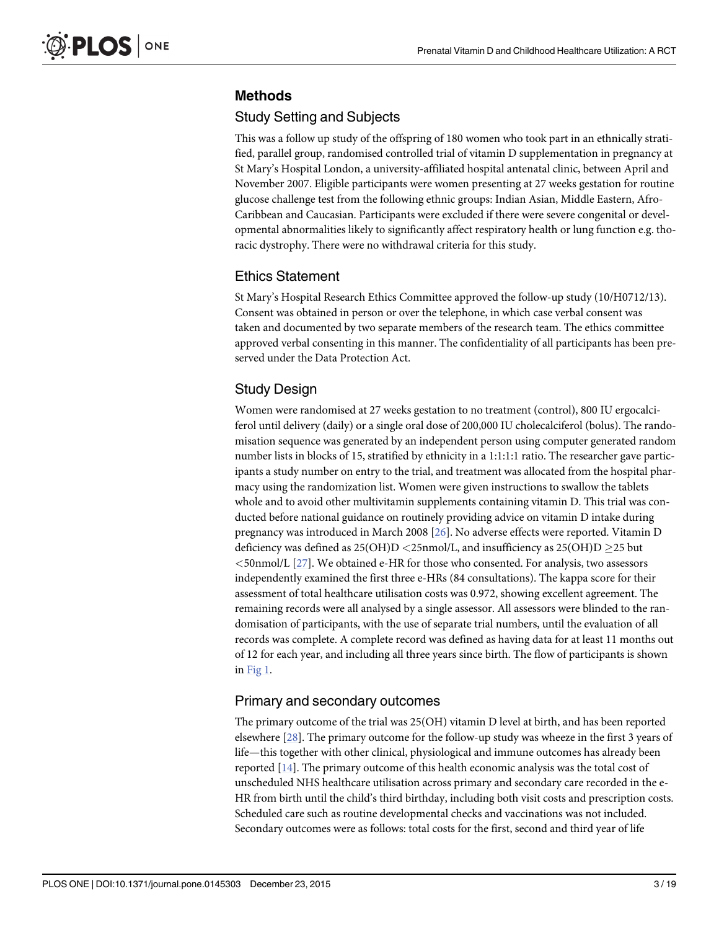## <span id="page-2-0"></span>Methods

## Study Setting and Subjects

This was a follow up study of the offspring of 180 women who took part in an ethnically stratified, parallel group, randomised controlled trial of vitamin D supplementation in pregnancy at St Mary's Hospital London, a university-affiliated hospital antenatal clinic, between April and November 2007. Eligible participants were women presenting at 27 weeks gestation for routine glucose challenge test from the following ethnic groups: Indian Asian, Middle Eastern, Afro-Caribbean and Caucasian. Participants were excluded if there were severe congenital or developmental abnormalities likely to significantly affect respiratory health or lung function e.g. thoracic dystrophy. There were no withdrawal criteria for this study.

## Ethics Statement

St Mary's Hospital Research Ethics Committee approved the follow-up study (10/H0712/13). Consent was obtained in person or over the telephone, in which case verbal consent was taken and documented by two separate members of the research team. The ethics committee approved verbal consenting in this manner. The confidentiality of all participants has been preserved under the Data Protection Act.

## Study Design

Women were randomised at 27 weeks gestation to no treatment (control), 800 IU ergocalciferol until delivery (daily) or a single oral dose of 200,000 IU cholecalciferol (bolus). The randomisation sequence was generated by an independent person using computer generated random number lists in blocks of 15, stratified by ethnicity in a 1:1:1:1 ratio. The researcher gave participants a study number on entry to the trial, and treatment was allocated from the hospital pharmacy using the randomization list. Women were given instructions to swallow the tablets whole and to avoid other multivitamin supplements containing vitamin D. This trial was conducted before national guidance on routinely providing advice on vitamin D intake during pregnancy was introduced in March 2008 [\[26\]](#page-17-0). No adverse effects were reported. Vitamin D deficiency was defined as  $25(OH)D < 25$ nmol/L, and insufficiency as  $25(OH)D \ge 25$  but  $\leq$ 50nmol/L [[27](#page-17-0)]. We obtained e-HR for those who consented. For analysis, two assessors independently examined the first three e-HRs (84 consultations). The kappa score for their assessment of total healthcare utilisation costs was 0.972, showing excellent agreement. The remaining records were all analysed by a single assessor. All assessors were blinded to the randomisation of participants, with the use of separate trial numbers, until the evaluation of all records was complete. A complete record was defined as having data for at least 11 months out of 12 for each year, and including all three years since birth. The flow of participants is shown in [Fig 1.](#page-3-0)

## Primary and secondary outcomes

The primary outcome of the trial was 25(OH) vitamin D level at birth, and has been reported elsewhere [\[28\]](#page-17-0). The primary outcome for the follow-up study was wheeze in the first 3 years of life—this together with other clinical, physiological and immune outcomes has already been reported [[14](#page-16-0)]. The primary outcome of this health economic analysis was the total cost of unscheduled NHS healthcare utilisation across primary and secondary care recorded in the e-HR from birth until the child's third birthday, including both visit costs and prescription costs. Scheduled care such as routine developmental checks and vaccinations was not included. Secondary outcomes were as follows: total costs for the first, second and third year of life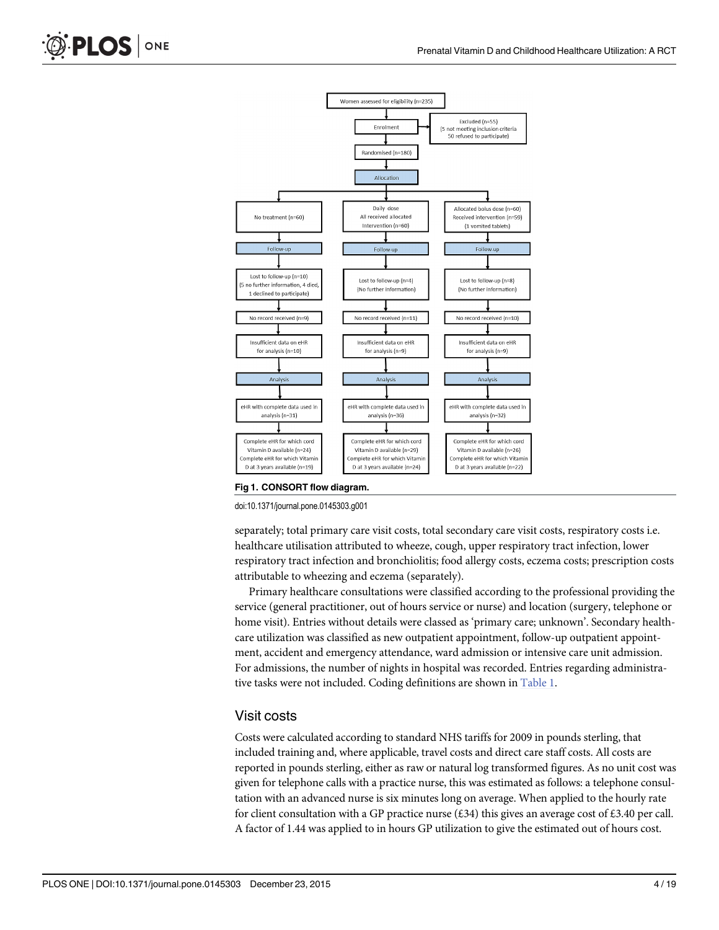

[Fig 1. C](#page-2-0)ONSORT flow diagram.

doi:10.1371/journal.pone.0145303.g001

separately; total primary care visit costs, total secondary care visit costs, respiratory costs i.e. healthcare utilisation attributed to wheeze, cough, upper respiratory tract infection, lower respiratory tract infection and bronchiolitis; food allergy costs, eczema costs; prescription costs attributable to wheezing and eczema (separately).

Primary healthcare consultations were classified according to the professional providing the service (general practitioner, out of hours service or nurse) and location (surgery, telephone or home visit). Entries without details were classed as 'primary care; unknown'. Secondary healthcare utilization was classified as new outpatient appointment, follow-up outpatient appointment, accident and emergency attendance, ward admission or intensive care unit admission. For admissions, the number of nights in hospital was recorded. Entries regarding administrative tasks were not included. Coding definitions are shown in [Table 1.](#page-4-0)

#### Visit costs

Costs were calculated according to standard NHS tariffs for 2009 in pounds sterling, that included training and, where applicable, travel costs and direct care staff costs. All costs are reported in pounds sterling, either as raw or natural log transformed figures. As no unit cost was given for telephone calls with a practice nurse, this was estimated as follows: a telephone consultation with an advanced nurse is six minutes long on average. When applied to the hourly rate for client consultation with a GP practice nurse (£34) this gives an average cost of £3.40 per call. A factor of 1.44 was applied to in hours GP utilization to give the estimated out of hours cost.

<span id="page-3-0"></span>PLOS ONE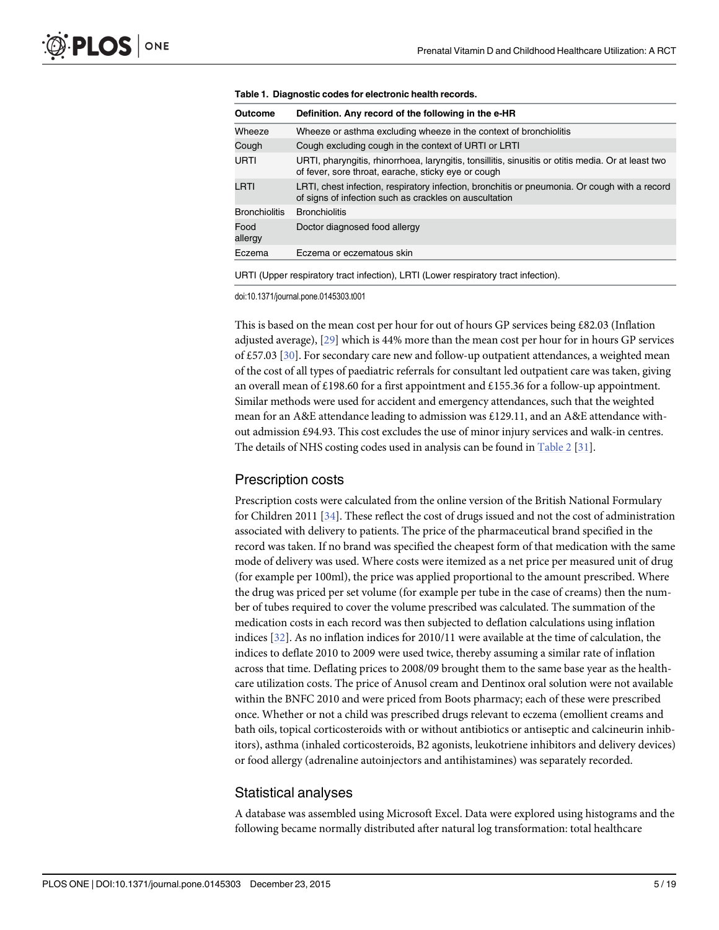| Outcome              | Definition. Any record of the following in the e-HR                                                                                                        |
|----------------------|------------------------------------------------------------------------------------------------------------------------------------------------------------|
| Wheeze               | Wheeze or asthma excluding wheeze in the context of bronchiolitis                                                                                          |
| Cough                | Cough excluding cough in the context of URTI or LRTI                                                                                                       |
| URTI                 | URTI, pharyngitis, rhinorrhoea, laryngitis, tonsillitis, sinusitis or otitis media. Or at least two<br>of fever, sore throat, earache, sticky eye or cough |
| LRTI                 | LRTI, chest infection, respiratory infection, bronchitis or pneumonia. Or cough with a record<br>of signs of infection such as crackles on auscultation    |
| <b>Bronchiolitis</b> | <b>Bronchiolitis</b>                                                                                                                                       |
| Food<br>allergy      | Doctor diagnosed food allergy                                                                                                                              |
| Eczema               | Eczema or eczematous skin                                                                                                                                  |
|                      | URTI (Upper respiratory tract infection), LRTI (Lower respiratory tract infection).                                                                        |

<span id="page-4-0"></span>

doi:10.1371/journal.pone.0145303.t001

This is based on the mean cost per hour for out of hours GP services being £82.03 (Inflation adjusted average), [[29](#page-17-0)] which is 44% more than the mean cost per hour for in hours GP services of £57.03 [[30\]](#page-17-0). For secondary care new and follow-up outpatient attendances, a weighted mean of the cost of all types of paediatric referrals for consultant led outpatient care was taken, giving an overall mean of £198.60 for a first appointment and £155.36 for a follow-up appointment. Similar methods were used for accident and emergency attendances, such that the weighted mean for an A&E attendance leading to admission was £129.11, and an A&E attendance without admission £94.93. This cost excludes the use of minor injury services and walk-in centres. The details of NHS costing codes used in analysis can be found in [Table 2](#page-5-0) [\[31\]](#page-17-0).

#### Prescription costs

Prescription costs were calculated from the online version of the British National Formulary for Children 2011 [\[34\]](#page-17-0). These reflect the cost of drugs issued and not the cost of administration associated with delivery to patients. The price of the pharmaceutical brand specified in the record was taken. If no brand was specified the cheapest form of that medication with the same mode of delivery was used. Where costs were itemized as a net price per measured unit of drug (for example per 100ml), the price was applied proportional to the amount prescribed. Where the drug was priced per set volume (for example per tube in the case of creams) then the number of tubes required to cover the volume prescribed was calculated. The summation of the medication costs in each record was then subjected to deflation calculations using inflation indices [\[32](#page-17-0)]. As no inflation indices for 2010/11 were available at the time of calculation, the indices to deflate 2010 to 2009 were used twice, thereby assuming a similar rate of inflation across that time. Deflating prices to 2008/09 brought them to the same base year as the healthcare utilization costs. The price of Anusol cream and Dentinox oral solution were not available within the BNFC 2010 and were priced from Boots pharmacy; each of these were prescribed once. Whether or not a child was prescribed drugs relevant to eczema (emollient creams and bath oils, topical corticosteroids with or without antibiotics or antiseptic and calcineurin inhibitors), asthma (inhaled corticosteroids, B2 agonists, leukotriene inhibitors and delivery devices) or food allergy (adrenaline autoinjectors and antihistamines) was separately recorded.

#### Statistical analyses

A database was assembled using Microsoft Excel. Data were explored using histograms and the following became normally distributed after natural log transformation: total healthcare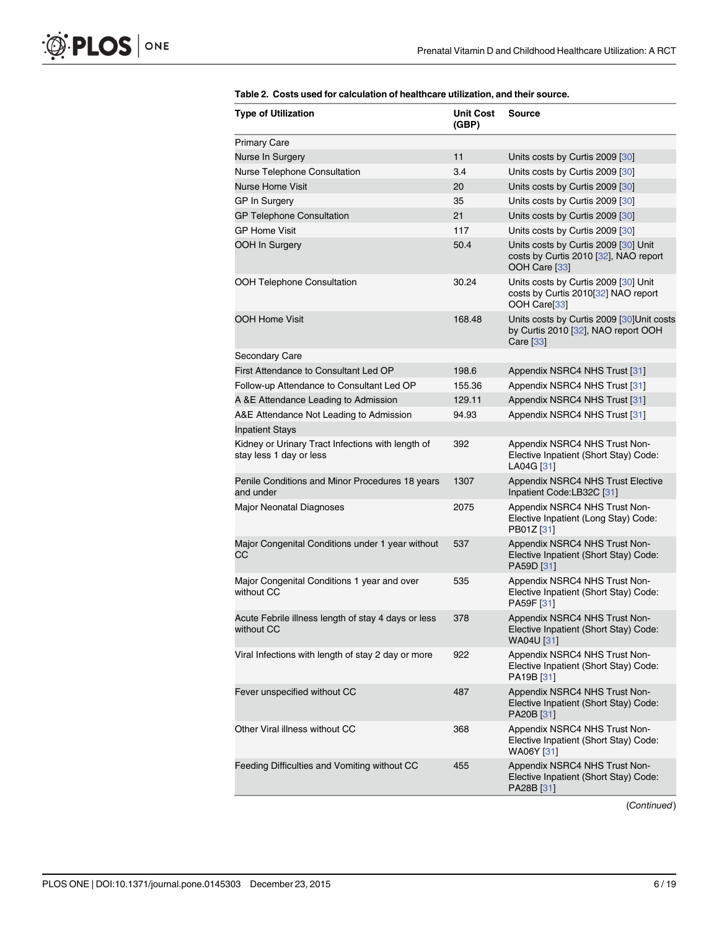<span id="page-5-0"></span>

| <b>Type of Utilization</b>                                                   | <b>Unit Cost</b><br>(GBP) | <b>Source</b>                                                                                   |
|------------------------------------------------------------------------------|---------------------------|-------------------------------------------------------------------------------------------------|
| <b>Primary Care</b>                                                          |                           |                                                                                                 |
| Nurse In Surgery                                                             | 11                        | Units costs by Curtis 2009 [30]                                                                 |
| Nurse Telephone Consultation                                                 | 3.4                       | Units costs by Curtis 2009 [30]                                                                 |
| <b>Nurse Home Visit</b>                                                      | 20                        | Units costs by Curtis 2009 [30]                                                                 |
| <b>GP In Surgery</b>                                                         | 35                        | Units costs by Curtis 2009 [30]                                                                 |
| <b>GP Telephone Consultation</b>                                             | 21                        | Units costs by Curtis 2009 [30]                                                                 |
| <b>GP Home Visit</b>                                                         | 117                       | Units costs by Curtis 2009 [30]                                                                 |
| OOH In Surgery                                                               | 50.4                      | Units costs by Curtis 2009 [30] Unit<br>costs by Curtis 2010 [32], NAO report<br>OOH Care [33]  |
| <b>OOH Telephone Consultation</b>                                            | 30.24                     | Units costs by Curtis 2009 [30] Unit<br>costs by Curtis 2010[32] NAO report<br>OOH Care[33]     |
| <b>OOH Home Visit</b>                                                        | 168.48                    | Units costs by Curtis 2009 [30]Unit costs<br>by Curtis 2010 [32], NAO report OOH<br>Care $[33]$ |
| Secondary Care                                                               |                           |                                                                                                 |
| First Attendance to Consultant Led OP                                        | 198.6                     | Appendix NSRC4 NHS Trust [31]                                                                   |
| Follow-up Attendance to Consultant Led OP                                    | 155.36                    | Appendix NSRC4 NHS Trust [31]                                                                   |
| A &E Attendance Leading to Admission                                         | 129.11                    | Appendix NSRC4 NHS Trust [31]                                                                   |
| A&E Attendance Not Leading to Admission                                      | 94.93                     | Appendix NSRC4 NHS Trust [31]                                                                   |
| <b>Inpatient Stays</b>                                                       |                           |                                                                                                 |
| Kidney or Urinary Tract Infections with length of<br>stay less 1 day or less | 392                       | Appendix NSRC4 NHS Trust Non-<br>Elective Inpatient (Short Stay) Code:<br>LA04G [31]            |
| Penile Conditions and Minor Procedures 18 years<br>and under                 | 1307                      | Appendix NSRC4 NHS Trust Elective<br>Inpatient Code:LB32C [31]                                  |
| <b>Major Neonatal Diagnoses</b>                                              | 2075                      | Appendix NSRC4 NHS Trust Non-<br>Elective Inpatient (Long Stay) Code:<br>PB01Z [31]             |
| Major Congenital Conditions under 1 year without<br>СC                       | 537                       | Appendix NSRC4 NHS Trust Non-<br>Elective Inpatient (Short Stay) Code:<br>PA59D [31]            |
| Major Congenital Conditions 1 year and over<br>without CC                    | 535                       | Appendix NSRC4 NHS Trust Non-<br>Elective Inpatient (Short Stay) Code:<br>PA59F [31]            |
| Acute Febrile illness length of stay 4 days or less<br>without CC            | 378                       | Appendix NSRC4 NHS Trust Non-<br>Elective Inpatient (Short Stay) Code:<br>WA04U [31]            |
| Viral Infections with length of stay 2 day or more                           | 922                       | Appendix NSRC4 NHS Trust Non-<br>Elective Inpatient (Short Stay) Code:<br>PA19B [31]            |
| Fever unspecified without CC                                                 | 487                       | Appendix NSRC4 NHS Trust Non-<br>Elective Inpatient (Short Stay) Code:<br>PA20B [31]            |
| Other Viral illness without CC                                               | 368                       | Appendix NSRC4 NHS Trust Non-<br>Elective Inpatient (Short Stay) Code:<br>WA06Y [31]            |
| Feeding Difficulties and Vomiting without CC                                 | 455                       | Appendix NSRC4 NHS Trust Non-<br>Elective Inpatient (Short Stay) Code:<br>PA28B [31]            |

#### [Table 2.](#page-4-0) Costs used for calculation of healthcare utilization, and their source.

(Continued)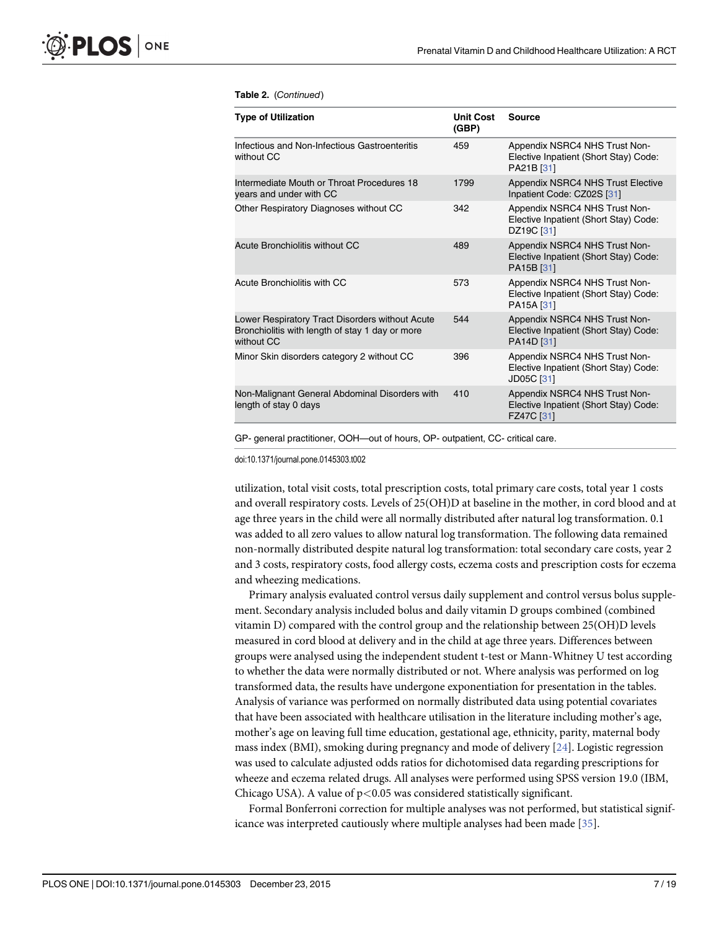#### <span id="page-6-0"></span>Table 2. (Continued)

| <b>Type of Utilization</b>                                                                                       | <b>Unit Cost</b><br>(GBP) | Source                                                                                          |
|------------------------------------------------------------------------------------------------------------------|---------------------------|-------------------------------------------------------------------------------------------------|
| Infectious and Non-Infectious Gastroenteritis<br>without CC                                                      | 459                       | Appendix NSRC4 NHS Trust Non-<br>Elective Inpatient (Short Stay) Code:<br>PA21B <sub>[31]</sub> |
| Intermediate Mouth or Throat Procedures 18<br>years and under with CC                                            | 1799                      | Appendix NSRC4 NHS Trust Elective<br>Inpatient Code: CZ02S [31]                                 |
| Other Respiratory Diagnoses without CC                                                                           | 342                       | Appendix NSRC4 NHS Trust Non-<br>Elective Inpatient (Short Stay) Code:<br>DZ19C [31]            |
| Acute Bronchiolitis without CC                                                                                   | 489                       | Appendix NSRC4 NHS Trust Non-<br>Elective Inpatient (Short Stay) Code:<br>PA15B [31]            |
| Acute Bronchiolitis with CC                                                                                      | 573                       | Appendix NSRC4 NHS Trust Non-<br>Elective Inpatient (Short Stay) Code:<br>PA15A [31]            |
| Lower Respiratory Tract Disorders without Acute<br>Bronchiolitis with length of stay 1 day or more<br>without CC | 544                       | Appendix NSRC4 NHS Trust Non-<br>Elective Inpatient (Short Stay) Code:<br>PA14D [31]            |
| Minor Skin disorders category 2 without CC                                                                       | 396                       | Appendix NSRC4 NHS Trust Non-<br>Elective Inpatient (Short Stay) Code:<br>JD05C [31]            |
| Non-Malignant General Abdominal Disorders with<br>length of stay 0 days                                          | 410                       | Appendix NSRC4 NHS Trust Non-<br>Elective Inpatient (Short Stay) Code:<br>FZ47C [31]            |

GP- general practitioner, OOH—out of hours, OP- outpatient, CC- critical care.

doi:10.1371/journal.pone.0145303.t002

utilization, total visit costs, total prescription costs, total primary care costs, total year 1 costs and overall respiratory costs. Levels of 25(OH)D at baseline in the mother, in cord blood and at age three years in the child were all normally distributed after natural log transformation. 0.1 was added to all zero values to allow natural log transformation. The following data remained non-normally distributed despite natural log transformation: total secondary care costs, year 2 and 3 costs, respiratory costs, food allergy costs, eczema costs and prescription costs for eczema and wheezing medications.

Primary analysis evaluated control versus daily supplement and control versus bolus supplement. Secondary analysis included bolus and daily vitamin D groups combined (combined vitamin D) compared with the control group and the relationship between 25(OH)D levels measured in cord blood at delivery and in the child at age three years. Differences between groups were analysed using the independent student t-test or Mann-Whitney U test according to whether the data were normally distributed or not. Where analysis was performed on log transformed data, the results have undergone exponentiation for presentation in the tables. Analysis of variance was performed on normally distributed data using potential covariates that have been associated with healthcare utilisation in the literature including mother's age, mother's age on leaving full time education, gestational age, ethnicity, parity, maternal body mass index (BMI), smoking during pregnancy and mode of delivery [[24\]](#page-17-0). Logistic regression was used to calculate adjusted odds ratios for dichotomised data regarding prescriptions for wheeze and eczema related drugs. All analyses were performed using SPSS version 19.0 (IBM, Chicago USA). A value of  $p < 0.05$  was considered statistically significant.

Formal Bonferroni correction for multiple analyses was not performed, but statistical significance was interpreted cautiously where multiple analyses had been made [[35](#page-17-0)].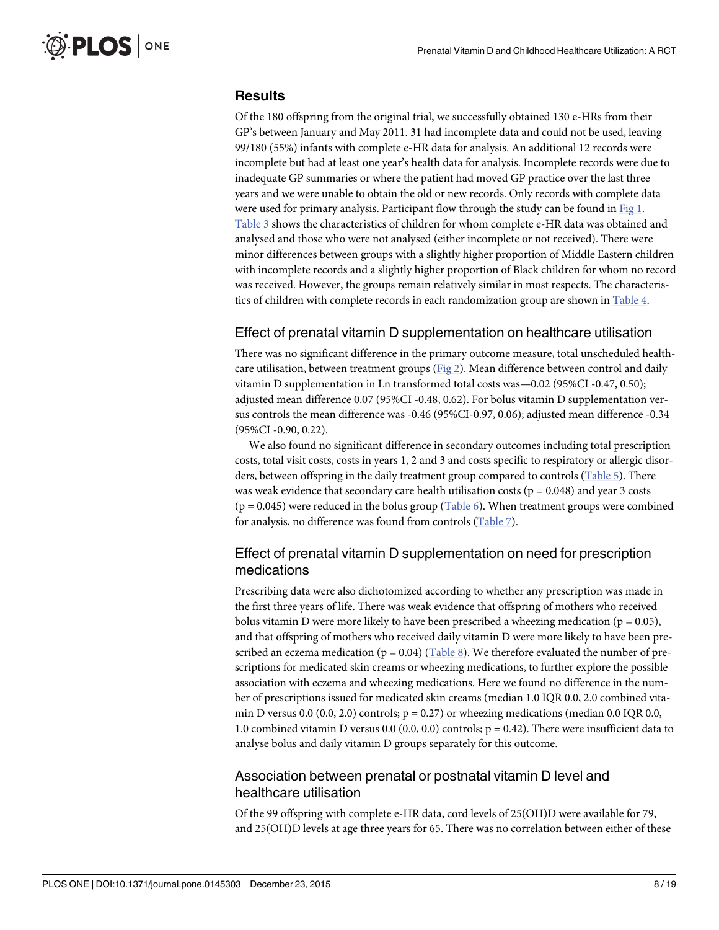### <span id="page-7-0"></span>**Results**

Of the 180 offspring from the original trial, we successfully obtained 130 e-HRs from their GP's between January and May 2011. 31 had incomplete data and could not be used, leaving 99/180 (55%) infants with complete e-HR data for analysis. An additional 12 records were incomplete but had at least one year's health data for analysis. Incomplete records were due to inadequate GP summaries or where the patient had moved GP practice over the last three years and we were unable to obtain the old or new records. Only records with complete data were used for primary analysis. Participant flow through the study can be found in [Fig 1.](#page-3-0) [Table 3](#page-8-0) shows the characteristics of children for whom complete e-HR data was obtained and analysed and those who were not analysed (either incomplete or not received). There were minor differences between groups with a slightly higher proportion of Middle Eastern children with incomplete records and a slightly higher proportion of Black children for whom no record was received. However, the groups remain relatively similar in most respects. The characteristics of children with complete records in each randomization group are shown in [Table 4](#page-8-0).

## Effect of prenatal vitamin D supplementation on healthcare utilisation

There was no significant difference in the primary outcome measure, total unscheduled healthcare utilisation, between treatment groups ( $Fig 2$ ). Mean difference between control and daily vitamin D supplementation in Ln transformed total costs was—0.02 (95%CI -0.47, 0.50); adjusted mean difference 0.07 (95%CI -0.48, 0.62). For bolus vitamin D supplementation versus controls the mean difference was -0.46 (95%CI-0.97, 0.06); adjusted mean difference -0.34 (95%CI -0.90, 0.22).

We also found no significant difference in secondary outcomes including total prescription costs, total visit costs, costs in years 1, 2 and 3 and costs specific to respiratory or allergic disorders, between offspring in the daily treatment group compared to controls [\(Table 5](#page-10-0)). There was weak evidence that secondary care health utilisation costs ( $p = 0.048$ ) and year 3 costs ( $p = 0.045$ ) were reduced in the bolus group ([Table 6\)](#page-11-0). When treatment groups were combined for analysis, no difference was found from controls ([Table 7\)](#page-12-0).

## Effect of prenatal vitamin D supplementation on need for prescription medications

Prescribing data were also dichotomized according to whether any prescription was made in the first three years of life. There was weak evidence that offspring of mothers who received bolus vitamin D were more likely to have been prescribed a wheezing medication ( $p = 0.05$ ), and that offspring of mothers who received daily vitamin D were more likely to have been prescribed an eczema medication ( $p = 0.04$ ) [\(Table 8\)](#page-12-0). We therefore evaluated the number of prescriptions for medicated skin creams or wheezing medications, to further explore the possible association with eczema and wheezing medications. Here we found no difference in the number of prescriptions issued for medicated skin creams (median 1.0 IQR 0.0, 2.0 combined vitamin D versus 0.0 (0.0, 2.0) controls;  $p = 0.27$ ) or wheezing medications (median 0.0 IQR 0.0, 1.0 combined vitamin D versus 0.0 (0.0, 0.0) controls; p = 0.42). There were insufficient data to analyse bolus and daily vitamin D groups separately for this outcome.

### Association between prenatal or postnatal vitamin D level and healthcare utilisation

Of the 99 offspring with complete e-HR data, cord levels of 25(OH)D were available for 79, and 25(OH)D levels at age three years for 65. There was no correlation between either of these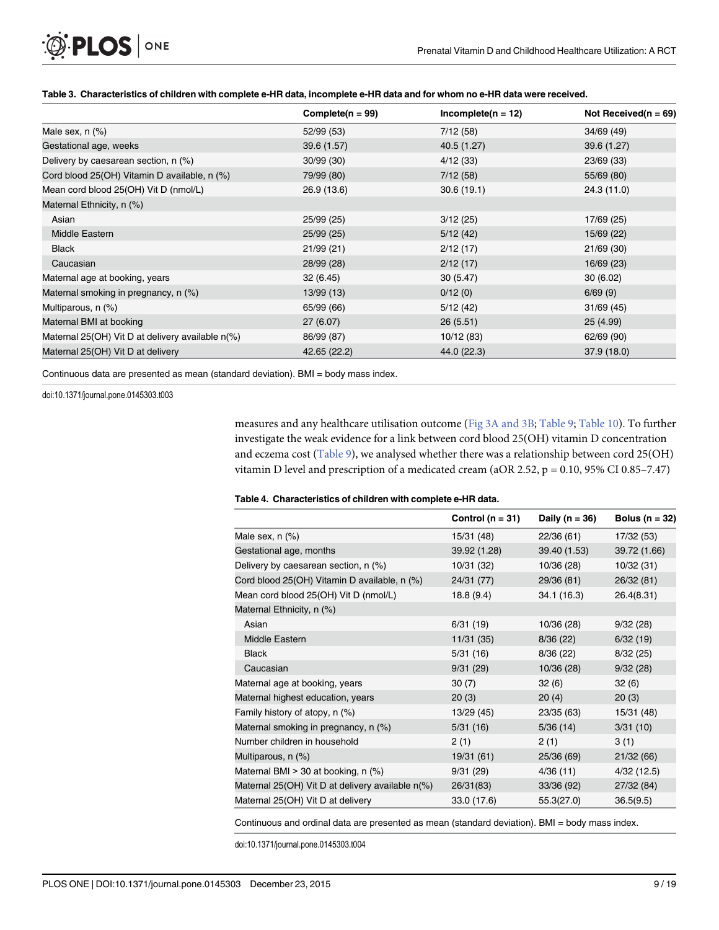#### [Table 3.](#page-7-0) Characteristics of children with complete e-HR data, incomplete e-HR data and for whom no e-HR data were received.

|                                                  | Complete( $n = 99$ ) | $Incomplete(n = 12)$ | Not Received( $n = 69$ ) |
|--------------------------------------------------|----------------------|----------------------|--------------------------|
| Male sex, $n$ $(\%)$                             | 52/99 (53)           | 7/12(58)             | 34/69 (49)               |
| Gestational age, weeks                           | 39.6 (1.57)          | 40.5 (1.27)          | 39.6 (1.27)              |
| Delivery by caesarean section, $n$ $(\%)$        | 30/99 (30)           | 4/12(33)             | 23/69 (33)               |
| Cord blood 25(OH) Vitamin D available, n (%)     | 79/99 (80)           | 7/12(58)             | 55/69 (80)               |
| Mean cord blood 25(OH) Vit D (nmol/L)            | 26.9 (13.6)          | 30.6(19.1)           | 24.3 (11.0)              |
| Maternal Ethnicity, n (%)                        |                      |                      |                          |
| Asian                                            | 25/99 (25)           | 3/12(25)             | 17/69 (25)               |
| Middle Eastern                                   | 25/99 (25)           | 5/12(42)             | 15/69 (22)               |
| <b>Black</b>                                     | 21/99(21)            | 2/12(17)             | 21/69 (30)               |
| Caucasian                                        | 28/99 (28)           | 2/12(17)             | 16/69 (23)               |
| Maternal age at booking, years                   | 32(6.45)             | 30(5.47)             | 30(6.02)                 |
| Maternal smoking in pregnancy, n (%)             | 13/99 (13)           | 0/12(0)              | 6/69(9)                  |
| Multiparous, n (%)                               | 65/99 (66)           | 5/12(42)             | 31/69(45)                |
| Maternal BMI at booking                          | 27 (6.07)            | 26(5.51)             | 25 (4.99)                |
| Maternal 25(OH) Vit D at delivery available n(%) | 86/99 (87)           | 10/12 (83)           | 62/69 (90)               |
| Maternal 25(OH) Vit D at delivery                | 42.65 (22.2)         | 44.0 (22.3)          | 37.9 (18.0)              |

Continuous data are presented as mean (standard deviation). BMI = body mass index.

doi:10.1371/journal.pone.0145303.t003

<span id="page-8-0"></span>**PLOS** | ONE

measures and any healthcare utilisation outcome ([Fig 3A and 3B](#page-13-0); [Table 9;](#page-13-0) [Table 10\)](#page-14-0). To further investigate the weak evidence for a link between cord blood 25(OH) vitamin D concentration and eczema cost  $(Table 9)$  $(Table 9)$ , we analysed whether there was a relationship between cord 25(OH) vitamin D level and prescription of a medicated cream (aOR 2.52, p = 0.10, 95% CI 0.85–7.47)

#### [Table 4.](#page-7-0) Characteristics of children with complete e-HR data.

|                                                                | Control ( $n = 31$ ) | Daily ( $n = 36$ ) | Bolus ( $n = 32$ ) |
|----------------------------------------------------------------|----------------------|--------------------|--------------------|
| Male sex, $n$ $(\%)$                                           | 15/31 (48)           | 22/36(61)          | 17/32 (53)         |
| Gestational age, months                                        | 39.92 (1.28)         | 39.40 (1.53)       | 39.72 (1.66)       |
| Delivery by caesarean section, n (%)                           | 10/31 (32)           | 10/36 (28)         | 10/32 (31)         |
| Cord blood 25(OH) Vitamin D available, n (%)                   | 24/31 (77)           | 29/36 (81)         | 26/32 (81)         |
| Mean cord blood 25(OH) Vit D (nmol/L)                          | 18.8(9.4)            | 34.1 (16.3)        | 26.4(8.31)         |
| Maternal Ethnicity, n (%)                                      |                      |                    |                    |
| Asian                                                          | 6/31(19)             | 10/36 (28)         | 9/32(28)           |
| Middle Eastern                                                 | 11/31(35)            | 8/36(22)           | 6/32(19)           |
| <b>Black</b>                                                   | 5/31(16)             | 8/36(22)           | 8/32(25)           |
| Caucasian                                                      | 9/31(29)             | 10/36(28)          | 9/32(28)           |
| Maternal age at booking, years                                 | 30(7)                | 32(6)              | 32(6)              |
| Maternal highest education, years                              | 20(3)                | 20(4)              | 20(3)              |
| Family history of atopy, n (%)                                 | 13/29(45)            | 23/35 (63)         | 15/31 (48)         |
| Maternal smoking in pregnancy, n (%)                           | 5/31(16)             | 5/36(14)           | 3/31(10)           |
| Number children in household                                   | 2(1)                 | 2(1)               | 3(1)               |
| Multiparous, n (%)                                             | 19/31 (61)           | 25/36 (69)         | 21/32(66)          |
| Maternal BMI > 30 at booking, n (%)                            | 9/31(29)             | 4/36(11)           | 4/32(12.5)         |
| Maternal 25(OH) Vit D at delivery available $n$ <sup>(%)</sup> | 26/31(83)            | 33/36 (92)         | 27/32 (84)         |
| Maternal 25(OH) Vit D at delivery                              | 33.0 (17.6)          | 55.3(27.0)         | 36.5(9.5)          |

Continuous and ordinal data are presented as mean (standard deviation). BMI = body mass index.

doi:10.1371/journal.pone.0145303.t004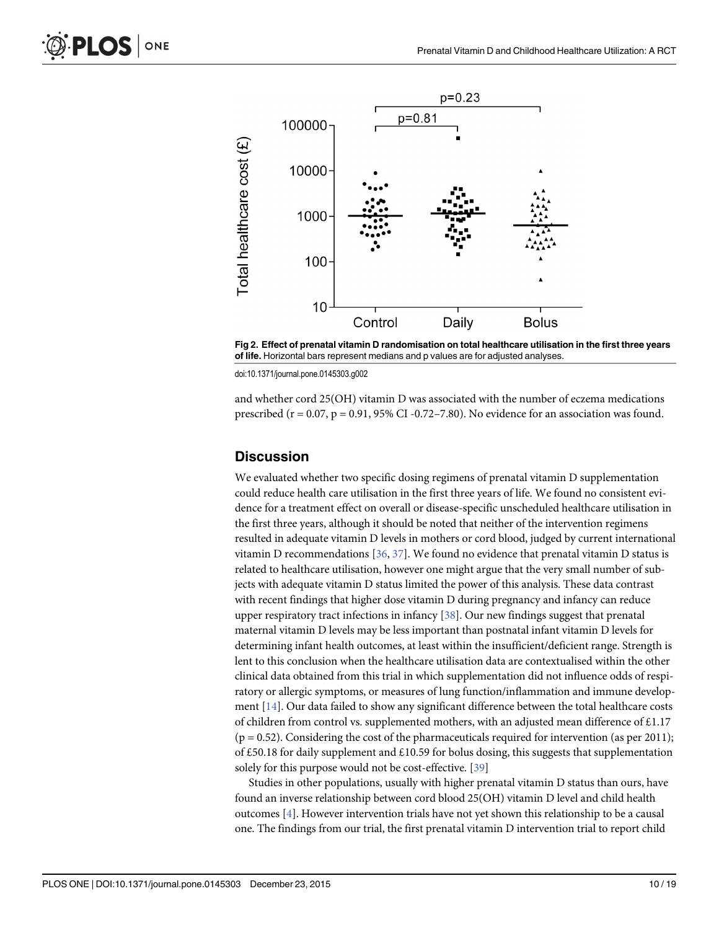<span id="page-9-0"></span>

[Fig 2. E](#page-7-0)ffect of prenatal vitamin D randomisation on total healthcare utilisation in the first three years of life. Horizontal bars represent medians and p values are for adjusted analyses.

doi:10.1371/journal.pone.0145303.g002

and whether cord 25(OH) vitamin D was associated with the number of eczema medications prescribed ( $r = 0.07$ ,  $p = 0.91$ , 95% CI-0.72-7.80). No evidence for an association was found.

#### **Discussion**

We evaluated whether two specific dosing regimens of prenatal vitamin D supplementation could reduce health care utilisation in the first three years of life. We found no consistent evidence for a treatment effect on overall or disease-specific unscheduled healthcare utilisation in the first three years, although it should be noted that neither of the intervention regimens resulted in adequate vitamin D levels in mothers or cord blood, judged by current international vitamin D recommendations  $[36, 37]$  $[36, 37]$  $[36, 37]$ . We found no evidence that prenatal vitamin D status is related to healthcare utilisation, however one might argue that the very small number of subjects with adequate vitamin D status limited the power of this analysis. These data contrast with recent findings that higher dose vitamin D during pregnancy and infancy can reduce upper respiratory tract infections in infancy [\[38](#page-17-0)]. Our new findings suggest that prenatal maternal vitamin D levels may be less important than postnatal infant vitamin D levels for determining infant health outcomes, at least within the insufficient/deficient range. Strength is lent to this conclusion when the healthcare utilisation data are contextualised within the other clinical data obtained from this trial in which supplementation did not influence odds of respiratory or allergic symptoms, or measures of lung function/inflammation and immune development  $[14]$ . Our data failed to show any significant difference between the total healthcare costs of children from control vs. supplemented mothers, with an adjusted mean difference of £1.17  $(p = 0.52)$ . Considering the cost of the pharmaceuticals required for intervention (as per 2011); of £50.18 for daily supplement and £10.59 for bolus dosing, this suggests that supplementation solely for this purpose would not be cost-effective. [\[39](#page-17-0)]

Studies in other populations, usually with higher prenatal vitamin D status than ours, have found an inverse relationship between cord blood 25(OH) vitamin D level and child health outcomes [[4\]](#page-15-0). However intervention trials have not yet shown this relationship to be a causal one. The findings from our trial, the first prenatal vitamin D intervention trial to report child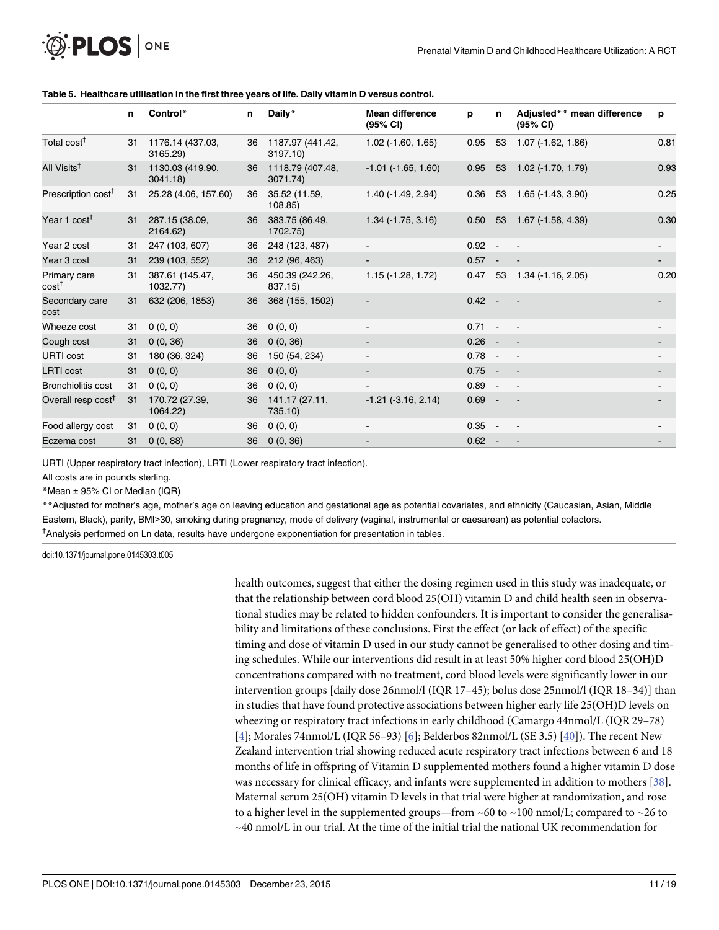|                                   | n. | Control*                     | n  | Daily*                       | <b>Mean difference</b><br>(95% CI) | p        | n      | Adjusted** mean difference<br>(95% CI) | p    |
|-----------------------------------|----|------------------------------|----|------------------------------|------------------------------------|----------|--------|----------------------------------------|------|
| Total cost <sup>†</sup>           | 31 | 1176.14 (437.03,<br>3165.29) | 36 | 1187.97 (441.42,<br>3197.10) | $1.02$ ( $-1.60$ , $1.65$ )        | 0.95     | 53     | $1.07$ ( $-1.62$ , $1.86$ )            | 0.81 |
| All Visits <sup>†</sup>           | 31 | 1130.03 (419.90,<br>3041.18  | 36 | 1118.79 (407.48,<br>3071.74) | $-1.01$ ( $-1.65$ , $1.60$ )       | 0.95     | 53     | $1.02$ (-1.70, 1.79)                   | 0.93 |
| Prescription cost <sup>†</sup>    | 31 | 25.28 (4.06, 157.60)         | 36 | 35.52 (11.59,<br>108.85)     | $1.40$ ( $-1.49$ , $2.94$ )        | 0.36     | 53     | 1.65 (-1.43, 3.90)                     | 0.25 |
| Year 1 $cost†$                    | 31 | 287.15 (38.09,<br>2164.62)   | 36 | 383.75 (86.49,<br>1702.75)   | $1.34$ ( $-1.75$ , $3.16$ )        | 0.50     | 53     | 1.67 (-1.58, 4.39)                     | 0.30 |
| Year 2 cost                       | 31 | 247 (103, 607)               | 36 | 248 (123, 487)               | $\blacksquare$                     | $0.92 -$ |        | $\sim$ $-$                             |      |
| Year 3 cost                       | 31 | 239 (103, 552)               | 36 | 212 (96, 463)                |                                    | $0.57 -$ |        |                                        |      |
| Primary care<br>cost <sup>†</sup> | 31 | 387.61 (145.47,<br>1032.77)  | 36 | 450.39 (242.26,<br>837.15)   | $1.15(-1.28, 1.72)$                | 0.47 53  |        | 1.34 (-1.16, 2.05)                     | 0.20 |
| Secondary care<br>cost            | 31 | 632 (206, 1853)              | 36 | 368 (155, 1502)              |                                    | $0.42 -$ |        |                                        |      |
| Wheeze cost                       | 31 | 0(0, 0)                      | 36 | 0(0, 0)                      | $\blacksquare$                     | $0.71 -$ |        | $\sim$ $-$                             |      |
| Cough cost                        | 31 | 0(0, 36)                     | 36 | 0(0, 36)                     | $\overline{\phantom{a}}$           | $0.26 -$ |        | $\overline{\phantom{a}}$               |      |
| <b>URTI cost</b>                  | 31 | 180 (36, 324)                | 36 | 150 (54, 234)                | $\overline{\phantom{a}}$           | $0.78 -$ |        | $\sim$ $-$                             |      |
| <b>LRTI</b> cost                  | 31 | 0(0, 0)                      | 36 | 0(0, 0)                      | $\blacksquare$                     | $0.75 -$ |        | $\blacksquare$                         |      |
| <b>Bronchiolitis cost</b>         | 31 | 0(0, 0)                      | 36 | 0(0, 0)                      |                                    | $0.89 -$ |        | $\blacksquare$                         |      |
| Overall resp cost <sup>T</sup>    | 31 | 170.72 (27.39,<br>1064.22)   | 36 | 141.17 (27.11,<br>735.10)    | $-1.21$ ( $-3.16$ , $2.14$ )       | $0.69 -$ |        | $\overline{\phantom{a}}$               |      |
| Food allergy cost                 | 31 | 0(0, 0)                      | 36 | 0(0, 0)                      | $\blacksquare$                     | 0.35     | $\sim$ | $\overline{\phantom{a}}$               |      |
| Eczema cost                       | 31 | 0(0, 88)                     | 36 | 0(0, 36)                     |                                    | $0.62 -$ |        |                                        |      |

#### <span id="page-10-0"></span>[Table 5.](#page-7-0) Healthcare utilisation in the first three years of life. Daily vitamin D versus control.

URTI (Upper respiratory tract infection), LRTI (Lower respiratory tract infection).

All costs are in pounds sterling.

\*Mean ± 95% CI or Median (IQR)

\*\*Adjusted for mother's age, mother's age on leaving education and gestational age as potential covariates, and ethnicity (Caucasian, Asian, Middle Eastern, Black), parity, BMI>30, smoking during pregnancy, mode of delivery (vaginal, instrumental or caesarean) as potential cofactors. <sup>†</sup>Analysis performed on Ln data, results have undergone exponentiation for presentation in tables.

doi:10.1371/journal.pone.0145303.t005

health outcomes, suggest that either the dosing regimen used in this study was inadequate, or that the relationship between cord blood 25(OH) vitamin D and child health seen in observational studies may be related to hidden confounders. It is important to consider the generalisability and limitations of these conclusions. First the effect (or lack of effect) of the specific timing and dose of vitamin D used in our study cannot be generalised to other dosing and timing schedules. While our interventions did result in at least 50% higher cord blood 25(OH)D concentrations compared with no treatment, cord blood levels were significantly lower in our intervention groups [daily dose 26nmol/l (IQR 17–45); bolus dose 25nmol/l (IQR 18–34)] than in studies that have found protective associations between higher early life 25(OH)D levels on wheezing or respiratory tract infections in early childhood (Camargo 44nmol/L (IQR 29–78) [\[4](#page-15-0)]; Morales 74nmol/L (IQR 56-93) [[6\]](#page-16-0); Belderbos 82nmol/L (SE 3.5) [\[40\]](#page-17-0)). The recent New Zealand intervention trial showing reduced acute respiratory tract infections between 6 and 18 months of life in offspring of Vitamin D supplemented mothers found a higher vitamin D dose was necessary for clinical efficacy, and infants were supplemented in addition to mothers [\[38](#page-17-0)]. Maternal serum 25(OH) vitamin D levels in that trial were higher at randomization, and rose to a higher level in the supplemented groups—from ~60 to ~100 nmol/L; compared to ~26 to  $\sim$ 40 nmol/L in our trial. At the time of the initial trial the national UK recommendation for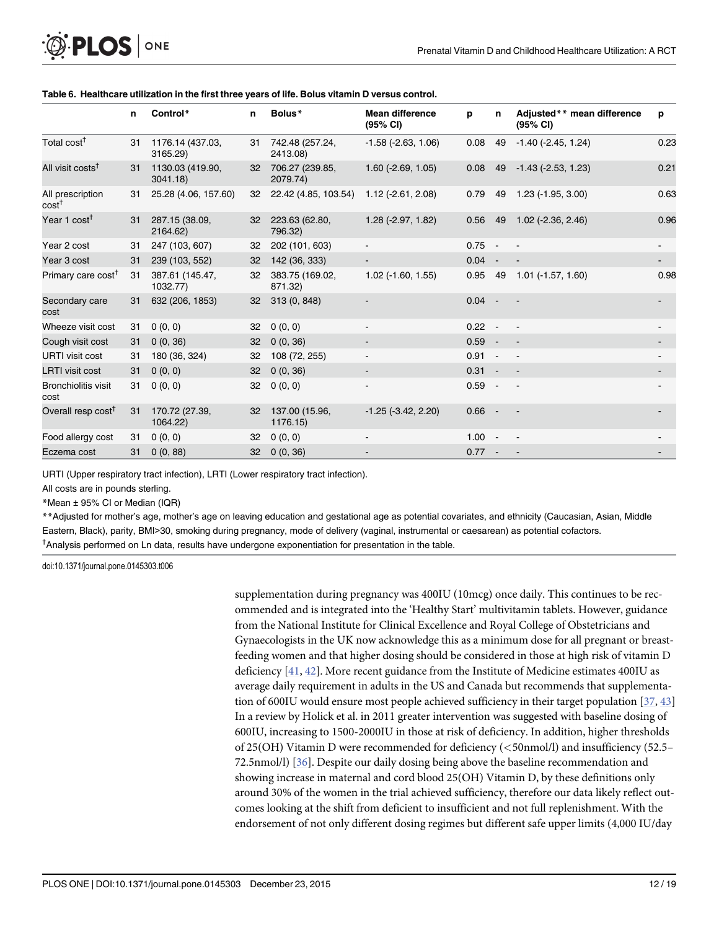|                                        | n  | Control*                     | n  | Bolus*                         | <b>Mean difference</b><br>(95% CI) | р        | n      | Adjusted** mean difference<br>$(95% \text{ Cl})$ | p    |
|----------------------------------------|----|------------------------------|----|--------------------------------|------------------------------------|----------|--------|--------------------------------------------------|------|
| Total cost <sup>†</sup>                | 31 | 1176.14 (437.03,<br>3165.29) |    | 31 742.48 (257.24,<br>2413.08) | $-1.58$ ( $-2.63$ , $1.06$ )       | 0.08     | 49     | $-1.40$ ( $-2.45$ , 1.24)                        | 0.23 |
| All visit costs <sup>†</sup>           | 31 | 1130.03 (419.90,<br>3041.18  | 32 | 706.27 (239.85,<br>2079.74)    | $1.60$ (-2.69, $1.05$ )            | 0.08     | 49     | $-1.43$ ( $-2.53$ , 1.23)                        | 0.21 |
| All prescription<br>$cost^{\intercal}$ | 31 | 25.28 (4.06, 157.60)         | 32 | 22.42 (4.85, 103.54)           | $1.12$ (-2.61, 2.08)               | 0.79     | 49     | $1.23$ (-1.95, 3.00)                             | 0.63 |
| Year 1 cost <sup>†</sup>               | 31 | 287.15 (38.09,<br>2164.62)   | 32 | 223.63 (62.80,<br>796.32)      | $1.28(-2.97, 1.82)$                | 0.56     | 49     | $1.02$ (-2.36, 2.46)                             | 0.96 |
| Year 2 cost                            | 31 | 247 (103, 607)               | 32 | 202 (101, 603)                 | $\blacksquare$                     | $0.75 -$ |        |                                                  |      |
| Year 3 cost                            | 31 | 239 (103, 552)               | 32 | 142 (36, 333)                  |                                    | $0.04 -$ |        |                                                  |      |
| Primary care cost <sup>†</sup>         | 31 | 387.61 (145.47,<br>1032.77)  | 32 | 383.75 (169.02,<br>871.32)     | $1.02$ ( $-1.60$ , $1.55$ )        | 0.95     | 49     | $1.01$ ( $-1.57$ , $1.60$ )                      | 0.98 |
| Secondary care<br>cost                 | 31 | 632 (206, 1853)              | 32 | 313 (0, 848)                   |                                    | $0.04 -$ |        |                                                  |      |
| Wheeze visit cost                      | 31 | 0(0, 0)                      | 32 | 0(0, 0)                        |                                    | 0.22     | $\sim$ | $\blacksquare$                                   |      |
| Cough visit cost                       | 31 | 0(0, 36)                     | 32 | 0(0, 36)                       | $\blacksquare$                     | $0.59 -$ |        | $\overline{\phantom{a}}$                         |      |
| <b>URTI</b> visit cost                 | 31 | 180 (36, 324)                | 32 | 108 (72, 255)                  | $\blacksquare$                     | $0.91 -$ |        | $\overline{\phantom{a}}$                         |      |
| <b>LRTI</b> visit cost                 | 31 | 0(0, 0)                      | 32 | 0(0, 36)                       | $\overline{\phantom{a}}$           | 0.31     | $\sim$ | $\sim$ $-$                                       |      |
| <b>Bronchiolitis visit</b><br>cost     | 31 | 0(0, 0)                      | 32 | 0(0, 0)                        | $\overline{\phantom{a}}$           | $0.59 -$ |        | $\sim$ $-$                                       |      |
| Overall resp cost <sup>†</sup>         | 31 | 170.72 (27.39,<br>1064.22)   | 32 | 137.00 (15.96,<br>1176.15)     | $-1.25$ ( $-3.42$ , 2.20)          | 0.66     | $\sim$ |                                                  |      |
| Food allergy cost                      | 31 | 0(0, 0)                      | 32 | 0(0, 0)                        |                                    | $1.00 -$ |        |                                                  |      |
| Eczema cost                            | 31 | 0(0, 88)                     | 32 | 0(0, 36)                       |                                    | 0.77     | $\sim$ |                                                  |      |

#### <span id="page-11-0"></span>[Table 6.](#page-7-0) Healthcare utilization in the first three years of life. Bolus vitamin D versus control.

URTI (Upper respiratory tract infection), LRTI (Lower respiratory tract infection).

All costs are in pounds sterling.

\*Mean ± 95% CI or Median (IQR)

\*\*Adjusted for mother's age, mother's age on leaving education and gestational age as potential covariates, and ethnicity (Caucasian, Asian, Middle Eastern, Black), parity, BMI>30, smoking during pregnancy, mode of delivery (vaginal, instrumental or caesarean) as potential cofactors. <sup>†</sup>Analysis performed on Ln data, results have undergone exponentiation for presentation in the table.

doi:10.1371/journal.pone.0145303.t006

supplementation during pregnancy was 400IU (10mcg) once daily. This continues to be recommended and is integrated into the 'Healthy Start' multivitamin tablets. However, guidance from the National Institute for Clinical Excellence and Royal College of Obstetricians and Gynaecologists in the UK now acknowledge this as a minimum dose for all pregnant or breastfeeding women and that higher dosing should be considered in those at high risk of vitamin D deficiency [[41](#page-17-0), [42](#page-17-0)]. More recent guidance from the Institute of Medicine estimates 400IU as average daily requirement in adults in the US and Canada but recommends that supplementation of 600IU would ensure most people achieved sufficiency in their target population  $[37, 43]$  $[37, 43]$  $[37, 43]$ In a review by Holick et al. in 2011 greater intervention was suggested with baseline dosing of 600IU, increasing to 1500-2000IU in those at risk of deficiency. In addition, higher thresholds of 25(OH) Vitamin D were recommended for deficiency (<50nmol/l) and insufficiency (52.5– 72.5nmol/l) [\[36](#page-17-0)]. Despite our daily dosing being above the baseline recommendation and showing increase in maternal and cord blood 25(OH) Vitamin D, by these definitions only around 30% of the women in the trial achieved sufficiency, therefore our data likely reflect outcomes looking at the shift from deficient to insufficient and not full replenishment. With the endorsement of not only different dosing regimes but different safe upper limits (4,000 IU/day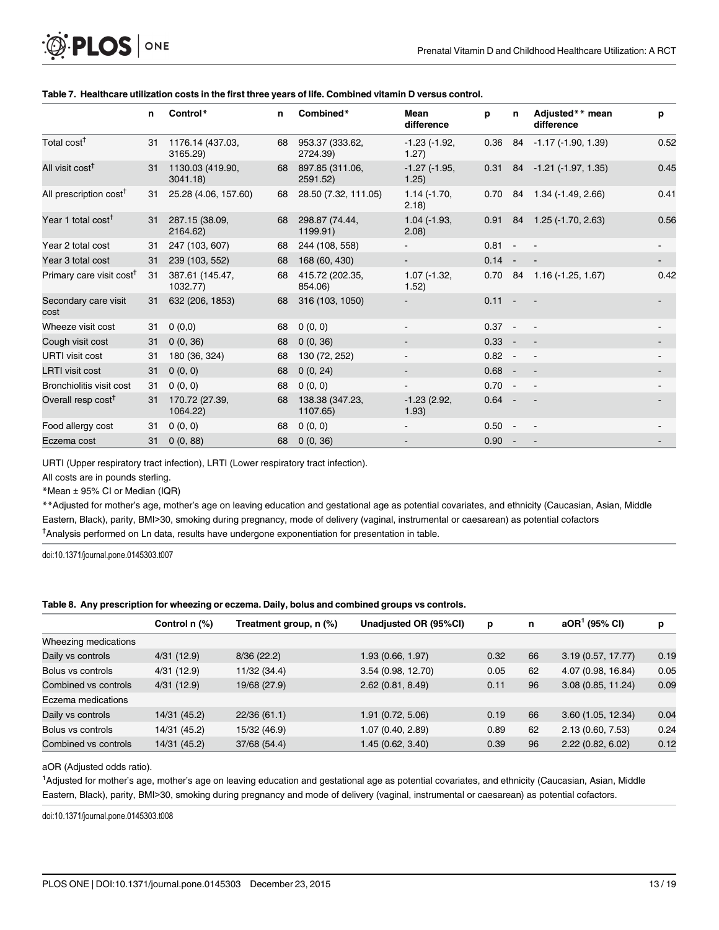|                                      | n  | Control*                     | n  | Combined*                   | Mean<br>difference           | р        | n      | Adjusted** mean<br>difference  | p                   |
|--------------------------------------|----|------------------------------|----|-----------------------------|------------------------------|----------|--------|--------------------------------|---------------------|
| Total cost <sup>†</sup>              | 31 | 1176.14 (437.03,<br>3165.29) | 68 | 953.37 (333.62,<br>2724.39) | $-1.23$ $(-1.92,$<br>1.27)   | 0.36     |        | 84 - 1.17 (-1.90, 1.39)        | 0.52                |
| All visit cost <sup>†</sup>          | 31 | 1130.03 (419.90,<br>3041.18  | 68 | 897.85 (311.06,<br>2591.52) | $-1.27$ ( $-1.95$ )<br>1.25) |          |        | $0.31$ 84 - 1.21 (-1.97, 1.35) | 0.45                |
| All prescription cost <sup>†</sup>   | 31 | 25.28 (4.06, 157.60)         | 68 | 28.50 (7.32, 111.05)        | $1.14(-1.70,$<br>(2.18)      | 0.70     |        | 84 1.34 (-1.49, 2.66)          | 0.41                |
| Year 1 total cost <sup>†</sup>       | 31 | 287.15 (38.09,<br>2164.62)   | 68 | 298.87 (74.44,<br>1199.91)  | $1.04$ ( $-1.93$ )<br>(2.08) | 0.91     |        | 84 1.25 (-1.70, 2.63)          | 0.56                |
| Year 2 total cost                    | 31 | 247 (103, 607)               | 68 | 244 (108, 558)              |                              | $0.81 -$ |        |                                |                     |
| Year 3 total cost                    | 31 | 239 (103, 552)               | 68 | 168 (60, 430)               |                              | 0.14     | $\sim$ |                                | $\sigma_{\rm{max}}$ |
| Primary care visit cost <sup>†</sup> | 31 | 387.61 (145.47,<br>1032.77)  | 68 | 415.72 (202.35,<br>854.06)  | $1.07$ ( $-1.32$ )<br>1.52)  | 0.70     |        | 84 1.16 (-1.25, 1.67)          | 0.42                |
| Secondary care visit<br>cost         | 31 | 632 (206, 1853)              | 68 | 316 (103, 1050)             |                              | 0.11     |        |                                |                     |
| Wheeze visit cost                    | 31 | 0(0,0)                       | 68 | 0(0, 0)                     | $\blacksquare$               | $0.37 -$ |        | $\sim$ $-$                     |                     |
| Cough visit cost                     | 31 | 0(0, 36)                     | 68 | 0(0, 36)                    |                              | $0.33 -$ |        | $\overline{\phantom{a}}$       |                     |
| <b>URTI</b> visit cost               | 31 | 180 (36, 324)                | 68 | 130 (72, 252)               |                              | 0.82     | $\sim$ | $\sim$ $-$                     |                     |
| <b>LRTI</b> visit cost               | 31 | 0(0, 0)                      | 68 | 0(0, 24)                    | $\blacksquare$               | $0.68 -$ |        | $\blacksquare$                 |                     |
| Bronchiolitis visit cost             | 31 | 0(0, 0)                      | 68 | 0(0, 0)                     |                              | $0.70 -$ |        | $\overline{\phantom{a}}$       |                     |
| Overall resp cost <sup>†</sup>       | 31 | 170.72 (27.39,<br>1064.22)   | 68 | 138.38 (347.23,<br>1107.65) | $-1.23(2.92,$<br>1.93)       | $0.64 -$ |        | $\sim$                         |                     |
| Food allergy cost                    | 31 | 0(0, 0)                      | 68 | 0(0, 0)                     |                              | $0.50 -$ |        |                                |                     |
| Eczema cost                          | 31 | 0(0, 88)                     | 68 | 0(0, 36)                    |                              | 0.90     | $\sim$ |                                |                     |

#### <span id="page-12-0"></span>[Table 7.](#page-7-0) Healthcare utilization costs in the first three years of life. Combined vitamin D versus control.

URTI (Upper respiratory tract infection), LRTI (Lower respiratory tract infection).

All costs are in pounds sterling.

\*Mean ± 95% CI or Median (IQR)

\*\*Adjusted for mother's age, mother's age on leaving education and gestational age as potential covariates, and ethnicity (Caucasian, Asian, Middle Eastern, Black), parity, BMI>30, smoking during pregnancy, mode of delivery (vaginal, instrumental or caesarean) as potential cofactors <sup>†</sup>Analysis performed on Ln data, results have undergone exponentiation for presentation in table.

doi:10.1371/journal.pone.0145303.t007

#### [Table 8.](#page-7-0) Any prescription for wheezing or eczema. Daily, bolus and combined groups vs controls.

|                      | Control n (%) | Treatment group, n (%) | Unadjusted OR (95%CI) | p    | n  | $aOR1$ (95% CI)    | р    |
|----------------------|---------------|------------------------|-----------------------|------|----|--------------------|------|
| Wheezing medications |               |                        |                       |      |    |                    |      |
| Daily vs controls    | 4/31(12.9)    | 8/36(22.2)             | 1.93 (0.66, 1.97)     | 0.32 | 66 | 3.19(0.57, 17.77)  | 0.19 |
| Bolus vs controls    | 4/31(12.9)    | 11/32 (34.4)           | 3.54 (0.98, 12.70)    | 0.05 | 62 | 4.07 (0.98, 16.84) | 0.05 |
| Combined vs controls | 4/31(12.9)    | 19/68 (27.9)           | 2.62(0.81, 8.49)      | 0.11 | 96 | 3.08(0.85, 11.24)  | 0.09 |
| Eczema medications   |               |                        |                       |      |    |                    |      |
| Daily vs controls    | 14/31 (45.2)  | 22/36 (61.1)           | 1.91 (0.72, 5.06)     | 0.19 | 66 | 3.60(1.05, 12.34)  | 0.04 |
| Bolus vs controls    | 14/31 (45.2)  | 15/32 (46.9)           | 1.07 (0.40, 2.89)     | 0.89 | 62 | 2.13(0.60, 7.53)   | 0.24 |
| Combined vs controls | 14/31 (45.2)  | 37/68 (54.4)           | 1.45 (0.62, 3.40)     | 0.39 | 96 | 2.22(0.82, 6.02)   | 0.12 |

aOR (Adjusted odds ratio).

1 Adjusted for mother's age, mother's age on leaving education and gestational age as potential covariates, and ethnicity (Caucasian, Asian, Middle Eastern, Black), parity, BMI>30, smoking during pregnancy and mode of delivery (vaginal, instrumental or caesarean) as potential cofactors.

doi:10.1371/journal.pone.0145303.t008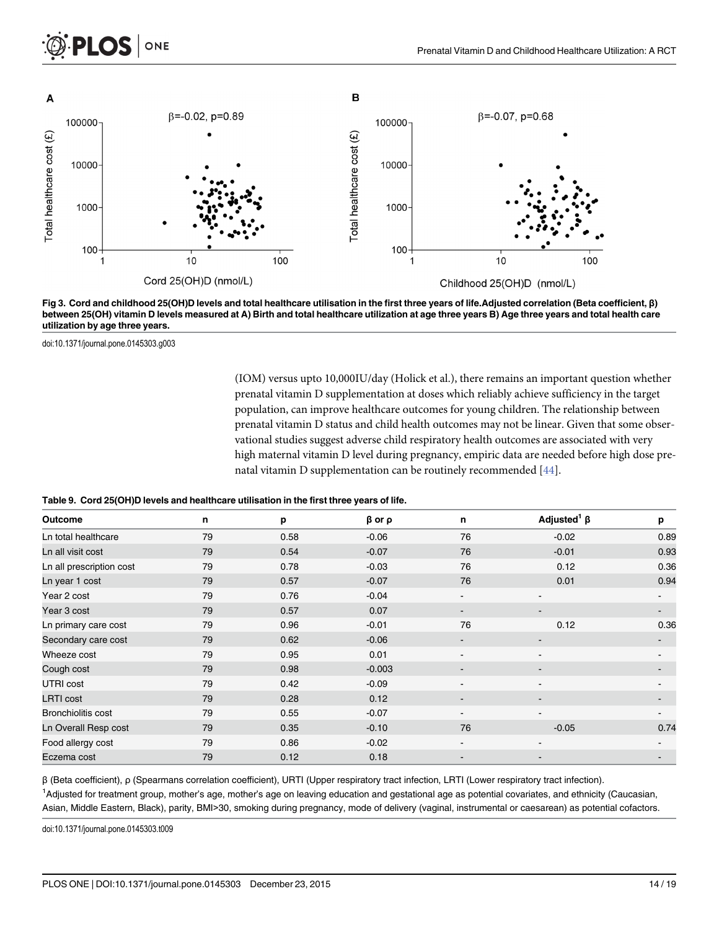<span id="page-13-0"></span>

[Fig 3. C](#page-8-0)ord and childhood 25(OH)D levels and total healthcare utilisation in the first three years of life.Adjusted correlation (Beta coefficient, β) between 25(OH) vitamin D levels measured at A) Birth and total healthcare utilization at age three years B) Age three years and total health care utilization by age three years.

doi:10.1371/journal.pone.0145303.g003

(IOM) versus upto 10,000IU/day (Holick et al.), there remains an important question whether prenatal vitamin D supplementation at doses which reliably achieve sufficiency in the target population, can improve healthcare outcomes for young children. The relationship between prenatal vitamin D status and child health outcomes may not be linear. Given that some observational studies suggest adverse child respiratory health outcomes are associated with very high maternal vitamin D level during pregnancy, empiric data are needed before high dose prenatal vitamin D supplementation can be routinely recommended [[44](#page-17-0)].

#### [Table 9.](#page-8-0) Cord 25(OH)D levels and healthcare utilisation in the first three years of life.

| Outcome                  | n  | p    | $\beta$ or $\rho$ | n                        | Adjusted <sup>1</sup> $\beta$ | p                        |
|--------------------------|----|------|-------------------|--------------------------|-------------------------------|--------------------------|
| Ln total healthcare      | 79 | 0.58 | $-0.06$           | 76                       | $-0.02$                       | 0.89                     |
| Ln all visit cost        | 79 | 0.54 | $-0.07$           | 76                       | $-0.01$                       | 0.93                     |
| Ln all prescription cost | 79 | 0.78 | $-0.03$           | 76                       | 0.12                          | 0.36                     |
| Ln year 1 cost           | 79 | 0.57 | $-0.07$           | 76                       | 0.01                          | 0.94                     |
| Year 2 cost              | 79 | 0.76 | $-0.04$           | $\blacksquare$           | $\overline{\phantom{a}}$      |                          |
| Year 3 cost              | 79 | 0.57 | 0.07              | $\overline{\phantom{a}}$ |                               |                          |
| Ln primary care cost     | 79 | 0.96 | $-0.01$           | 76                       | 0.12                          | 0.36                     |
| Secondary care cost      | 79 | 0.62 | $-0.06$           | $\overline{\phantom{a}}$ | $\overline{\phantom{a}}$      | $\overline{\phantom{a}}$ |
| Wheeze cost              | 79 | 0.95 | 0.01              | $\overline{\phantom{a}}$ | $\overline{\phantom{a}}$      |                          |
| Cough cost               | 79 | 0.98 | $-0.003$          | $\overline{\phantom{a}}$ | $\blacksquare$                |                          |
| UTRI cost                | 79 | 0.42 | $-0.09$           | $\overline{\phantom{a}}$ |                               |                          |
| <b>LRTI</b> cost         | 79 | 0.28 | 0.12              | $\overline{\phantom{a}}$ | $\blacksquare$                |                          |
| Bronchiolitis cost       | 79 | 0.55 | $-0.07$           | $\overline{\phantom{a}}$ |                               |                          |
| Ln Overall Resp cost     | 79 | 0.35 | $-0.10$           | 76                       | $-0.05$                       | 0.74                     |
| Food allergy cost        | 79 | 0.86 | $-0.02$           | $\blacksquare$           | -                             |                          |
| Eczema cost              | 79 | 0.12 | 0.18              | $\overline{\phantom{a}}$ | $\overline{\phantom{a}}$      |                          |

β (Beta coefficient), ρ (Spearmans correlation coefficient), URTI (Upper respiratory tract infection, LRTI (Lower respiratory tract infection). <sup>1</sup>Adjusted for treatment group, mother's age, mother's age on leaving education and gestational age as potential covariates, and ethnicity (Caucasian, Asian, Middle Eastern, Black), parity, BMI>30, smoking during pregnancy, mode of delivery (vaginal, instrumental or caesarean) as potential cofactors.

doi:10.1371/journal.pone.0145303.t009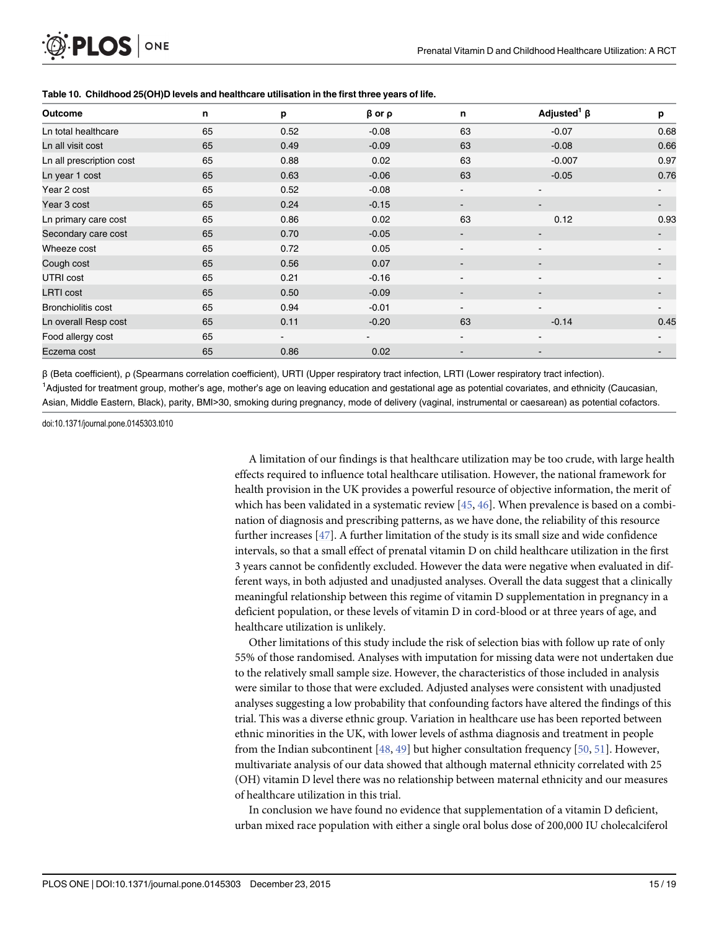| <b>Outcome</b>           | n  | p              | $\beta$ or $\rho$ | n                        | Adjusted <sup>1</sup> $\beta$ | p    |
|--------------------------|----|----------------|-------------------|--------------------------|-------------------------------|------|
| Ln total healthcare      | 65 | 0.52           | $-0.08$           | 63                       | $-0.07$                       | 0.68 |
| Ln all visit cost        | 65 | 0.49           | $-0.09$           | 63                       | $-0.08$                       | 0.66 |
| Ln all prescription cost | 65 | 0.88           | 0.02              | 63                       | $-0.007$                      | 0.97 |
| Ln year 1 cost           | 65 | 0.63           | $-0.06$           | 63                       | $-0.05$                       | 0.76 |
| Year 2 cost              | 65 | 0.52           | $-0.08$           | $\blacksquare$           |                               |      |
| Year 3 cost              | 65 | 0.24           | $-0.15$           | ۰.                       | $\overline{\phantom{a}}$      |      |
| Ln primary care cost     | 65 | 0.86           | 0.02              | 63                       | 0.12                          | 0.93 |
| Secondary care cost      | 65 | 0.70           | $-0.05$           | $\overline{\phantom{a}}$ |                               |      |
| Wheeze cost              | 65 | 0.72           | 0.05              | $\blacksquare$           | $\blacksquare$                |      |
| Cough cost               | 65 | 0.56           | 0.07              | $\blacksquare$           | $\overline{\phantom{0}}$      |      |
| UTRI cost                | 65 | 0.21           | $-0.16$           | $\sim$                   |                               |      |
| <b>LRTI</b> cost         | 65 | 0.50           | $-0.09$           | $\blacksquare$           |                               |      |
| Bronchiolitis cost       | 65 | 0.94           | $-0.01$           | $\blacksquare$           |                               |      |
| Ln overall Resp cost     | 65 | 0.11           | $-0.20$           | 63                       | $-0.14$                       | 0.45 |
| Food allergy cost        | 65 | $\blacksquare$ | $\blacksquare$    | $\blacksquare$           |                               |      |
| Eczema cost              | 65 | 0.86           | 0.02              | $\overline{\phantom{a}}$ |                               |      |

#### [Table 10.](#page-8-0) Childhood 25(OH)D levels and healthcare utilisation in the first three years of life.

β (Beta coefficient), ρ (Spearmans correlation coefficient), URTI (Upper respiratory tract infection, LRTI (Lower respiratory tract infection). <sup>1</sup>Adjusted for treatment group, mother's age, mother's age on leaving education and gestational age as potential covariates, and ethnicity (Caucasian, Asian, Middle Eastern, Black), parity, BMI>30, smoking during pregnancy, mode of delivery (vaginal, instrumental or caesarean) as potential cofactors.

doi:10.1371/journal.pone.0145303.t010

<span id="page-14-0"></span>PLOS ONE

A limitation of our findings is that healthcare utilization may be too crude, with large health effects required to influence total healthcare utilisation. However, the national framework for health provision in the UK provides a powerful resource of objective information, the merit of which has been validated in a systematic review  $[45, 46]$  $[45, 46]$  $[45, 46]$  $[45, 46]$  $[45, 46]$ . When prevalence is based on a combination of diagnosis and prescribing patterns, as we have done, the reliability of this resource further increases  $[47]$  $[47]$  $[47]$ . A further limitation of the study is its small size and wide confidence intervals, so that a small effect of prenatal vitamin D on child healthcare utilization in the first 3 years cannot be confidently excluded. However the data were negative when evaluated in different ways, in both adjusted and unadjusted analyses. Overall the data suggest that a clinically meaningful relationship between this regime of vitamin D supplementation in pregnancy in a deficient population, or these levels of vitamin D in cord-blood or at three years of age, and healthcare utilization is unlikely.

Other limitations of this study include the risk of selection bias with follow up rate of only 55% of those randomised. Analyses with imputation for missing data were not undertaken due to the relatively small sample size. However, the characteristics of those included in analysis were similar to those that were excluded. Adjusted analyses were consistent with unadjusted analyses suggesting a low probability that confounding factors have altered the findings of this trial. This was a diverse ethnic group. Variation in healthcare use has been reported between ethnic minorities in the UK, with lower levels of asthma diagnosis and treatment in people from the Indian subcontinent  $[48, 49]$  $[48, 49]$  $[48, 49]$  $[48, 49]$  but higher consultation frequency  $[50, 51]$  $[50, 51]$  $[50, 51]$ . However, multivariate analysis of our data showed that although maternal ethnicity correlated with 25 (OH) vitamin D level there was no relationship between maternal ethnicity and our measures of healthcare utilization in this trial.

In conclusion we have found no evidence that supplementation of a vitamin D deficient, urban mixed race population with either a single oral bolus dose of 200,000 IU cholecalciferol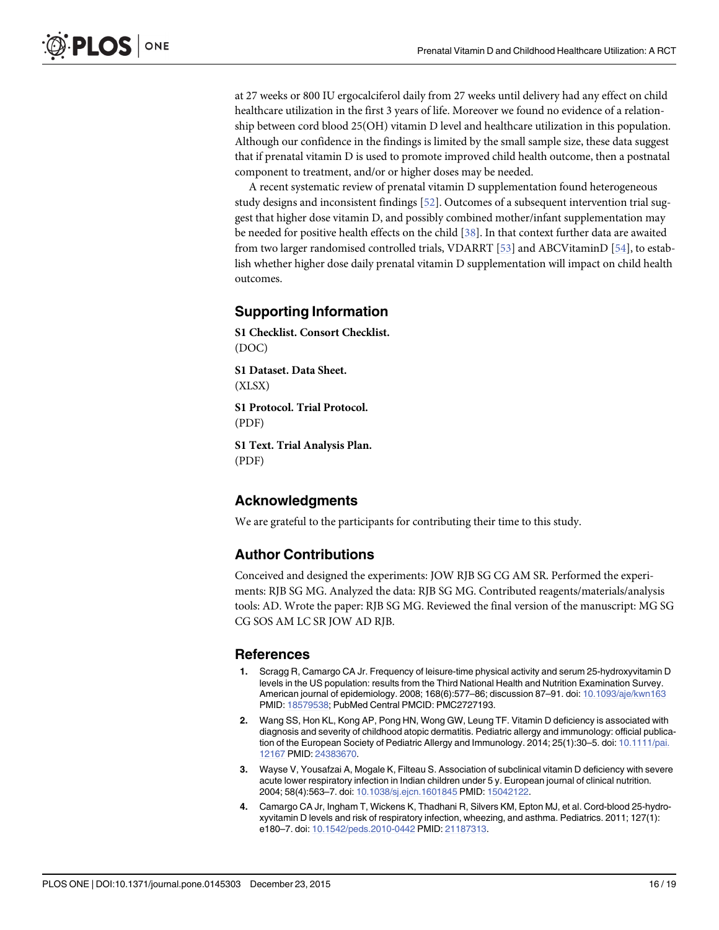<span id="page-15-0"></span>at 27 weeks or 800 IU ergocalciferol daily from 27 weeks until delivery had any effect on child healthcare utilization in the first 3 years of life. Moreover we found no evidence of a relationship between cord blood 25(OH) vitamin D level and healthcare utilization in this population. Although our confidence in the findings is limited by the small sample size, these data suggest that if prenatal vitamin D is used to promote improved child health outcome, then a postnatal component to treatment, and/or or higher doses may be needed.

A recent systematic review of prenatal vitamin D supplementation found heterogeneous study designs and inconsistent findings [\[52\]](#page-18-0). Outcomes of a subsequent intervention trial suggest that higher dose vitamin D, and possibly combined mother/infant supplementation may be needed for positive health effects on the child [[38](#page-17-0)]. In that context further data are awaited from two larger randomised controlled trials, VDARRT [\[53\]](#page-18-0) and ABCVitaminD [[54](#page-18-0)], to establish whether higher dose daily prenatal vitamin D supplementation will impact on child health outcomes.

#### Supporting Information

[S1 Checklist.](http://www.plosone.org/article/fetchSingleRepresentation.action?uri=info:doi/10.1371/journal.pone.0145303.s001) Consort Checklist. (DOC)

[S1 Dataset.](http://www.plosone.org/article/fetchSingleRepresentation.action?uri=info:doi/10.1371/journal.pone.0145303.s002) Data Sheet. (XLSX)

[S1 Protocol.](http://www.plosone.org/article/fetchSingleRepresentation.action?uri=info:doi/10.1371/journal.pone.0145303.s003) Trial Protocol. (PDF)

[S1 Text.](http://www.plosone.org/article/fetchSingleRepresentation.action?uri=info:doi/10.1371/journal.pone.0145303.s004) Trial Analysis Plan. (PDF)

#### Acknowledgments

We are grateful to the participants for contributing their time to this study.

#### Author Contributions

Conceived and designed the experiments: JOW RJB SG CG AM SR. Performed the experiments: RJB SG MG. Analyzed the data: RJB SG MG. Contributed reagents/materials/analysis tools: AD. Wrote the paper: RJB SG MG. Reviewed the final version of the manuscript: MG SG CG SOS AM LC SR JOW AD RJB.

#### References

- [1.](#page-1-0) Scragg R, Camargo CA Jr. Frequency of leisure-time physical activity and serum 25-hydroxyvitamin D levels in the US population: results from the Third National Health and Nutrition Examination Survey. American journal of epidemiology. 2008; 168(6):577–86; discussion 87–91. doi: [10.1093/aje/kwn163](http://dx.doi.org/10.1093/aje/kwn163) PMID: [18579538;](http://www.ncbi.nlm.nih.gov/pubmed/18579538) PubMed Central PMCID: PMC2727193.
- [2.](#page-1-0) Wang SS, Hon KL, Kong AP, Pong HN, Wong GW, Leung TF. Vitamin D deficiency is associated with diagnosis and severity of childhood atopic dermatitis. Pediatric allergy and immunology: official publica-tion of the European Society of Pediatric Allergy and Immunology. 2014; 25(1):30–5. doi: [10.1111/pai.](http://dx.doi.org/10.1111/pai.12167) [12167](http://dx.doi.org/10.1111/pai.12167) PMID: [24383670.](http://www.ncbi.nlm.nih.gov/pubmed/24383670)
- 3. Wayse V, Yousafzai A, Mogale K, Filteau S. Association of subclinical vitamin D deficiency with severe acute lower respiratory infection in Indian children under 5 y. European journal of clinical nutrition. 2004; 58(4):563–7. doi: [10.1038/sj.ejcn.1601845](http://dx.doi.org/10.1038/sj.ejcn.1601845) PMID: [15042122](http://www.ncbi.nlm.nih.gov/pubmed/15042122).
- [4.](#page-9-0) Camargo CA Jr, Ingham T, Wickens K, Thadhani R, Silvers KM, Epton MJ, et al. Cord-blood 25-hydroxyvitamin D levels and risk of respiratory infection, wheezing, and asthma. Pediatrics. 2011; 127(1): e180–7. doi: [10.1542/peds.2010-0442](http://dx.doi.org/10.1542/peds.2010-0442) PMID: [21187313](http://www.ncbi.nlm.nih.gov/pubmed/21187313).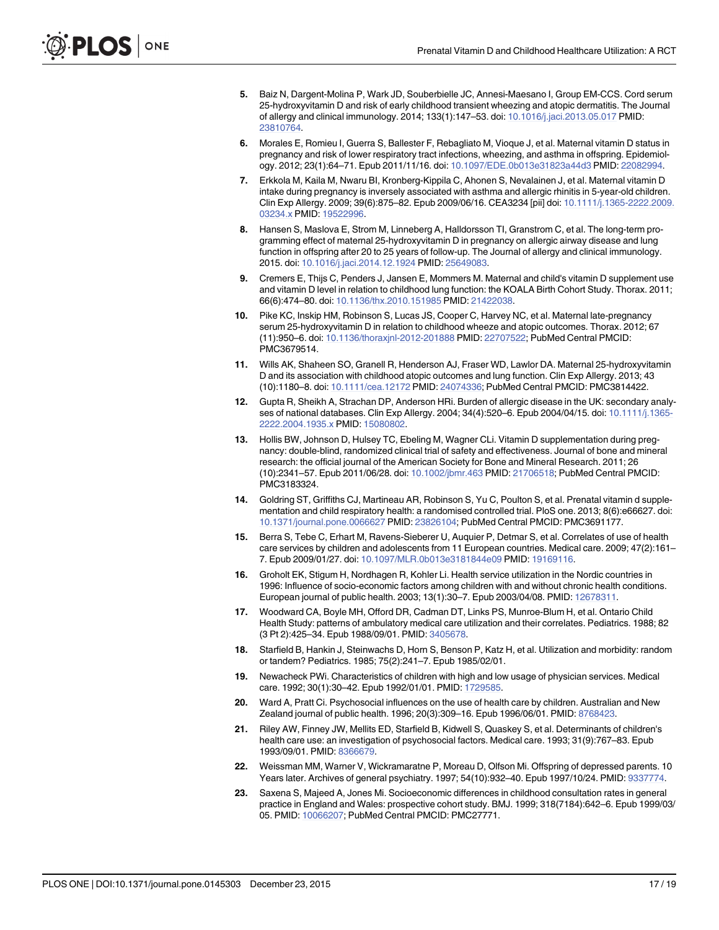- <span id="page-16-0"></span>5. Baiz N, Dargent-Molina P, Wark JD, Souberbielle JC, Annesi-Maesano I, Group EM-CCS. Cord serum 25-hydroxyvitamin D and risk of early childhood transient wheezing and atopic dermatitis. The Journal of allergy and clinical immunology. 2014; 133(1):147–53. doi: [10.1016/j.jaci.2013.05.017](http://dx.doi.org/10.1016/j.jaci.2013.05.017) PMID: [23810764](http://www.ncbi.nlm.nih.gov/pubmed/23810764).
- [6.](#page-10-0) Morales E, Romieu I, Guerra S, Ballester F, Rebagliato M, Vioque J, et al. Maternal vitamin D status in pregnancy and risk of lower respiratory tract infections, wheezing, and asthma in offspring. Epidemiology. 2012; 23(1):64–71. Epub 2011/11/16. doi: [10.1097/EDE.0b013e31823a44d3](http://dx.doi.org/10.1097/EDE.0b013e31823a44d3) PMID: [22082994](http://www.ncbi.nlm.nih.gov/pubmed/22082994).
- [7.](#page-1-0) Erkkola M, Kaila M, Nwaru BI, Kronberg-Kippila C, Ahonen S, Nevalainen J, et al. Maternal vitamin D intake during pregnancy is inversely associated with asthma and allergic rhinitis in 5-year-old children. Clin Exp Allergy. 2009; 39(6):875–82. Epub 2009/06/16. CEA3234 [pii] doi: [10.1111/j.1365-2222.2009.](http://dx.doi.org/10.1111/j.1365-2222.2009.03234.x) [03234.x](http://dx.doi.org/10.1111/j.1365-2222.2009.03234.x) PMID: [19522996.](http://www.ncbi.nlm.nih.gov/pubmed/19522996)
- [8.](#page-1-0) Hansen S, Maslova E, Strom M, Linneberg A, Halldorsson TI, Granstrom C, et al. The long-term programming effect of maternal 25-hydroxyvitamin D in pregnancy on allergic airway disease and lung function in offspring after 20 to 25 years of follow-up. The Journal of allergy and clinical immunology. 2015. doi: [10.1016/j.jaci.2014.12.1924](http://dx.doi.org/10.1016/j.jaci.2014.12.1924) PMID: [25649083.](http://www.ncbi.nlm.nih.gov/pubmed/25649083)
- 9. Cremers E, Thijs C, Penders J, Jansen E, Mommers M. Maternal and child's vitamin D supplement use and vitamin D level in relation to childhood lung function: the KOALA Birth Cohort Study. Thorax. 2011; 66(6):474–80. doi: [10.1136/thx.2010.151985](http://dx.doi.org/10.1136/thx.2010.151985) PMID: [21422038.](http://www.ncbi.nlm.nih.gov/pubmed/21422038)
- 10. Pike KC, Inskip HM, Robinson S, Lucas JS, Cooper C, Harvey NC, et al. Maternal late-pregnancy serum 25-hydroxyvitamin D in relation to childhood wheeze and atopic outcomes. Thorax. 2012; 67 (11):950–6. doi: [10.1136/thoraxjnl-2012-201888](http://dx.doi.org/10.1136/thoraxjnl-2012-201888) PMID: [22707522;](http://www.ncbi.nlm.nih.gov/pubmed/22707522) PubMed Central PMCID: PMC3679514.
- [11.](#page-1-0) Wills AK, Shaheen SO, Granell R, Henderson AJ, Fraser WD, Lawlor DA. Maternal 25-hydroxyvitamin D and its association with childhood atopic outcomes and lung function. Clin Exp Allergy. 2013; 43 (10):1180–8. doi: [10.1111/cea.12172](http://dx.doi.org/10.1111/cea.12172) PMID: [24074336](http://www.ncbi.nlm.nih.gov/pubmed/24074336); PubMed Central PMCID: PMC3814422.
- [12.](#page-1-0) Gupta R, Sheikh A, Strachan DP, Anderson HRi. Burden of allergic disease in the UK: secondary analyses of national databases. Clin Exp Allergy. 2004; 34(4):520–6. Epub 2004/04/15. doi: [10.1111/j.1365-](http://dx.doi.org/10.1111/j.1365-2222.2004.1935.x) [2222.2004.1935.x](http://dx.doi.org/10.1111/j.1365-2222.2004.1935.x) PMID: [15080802.](http://www.ncbi.nlm.nih.gov/pubmed/15080802)
- [13.](#page-1-0) Hollis BW, Johnson D, Hulsey TC, Ebeling M, Wagner CLi. Vitamin D supplementation during pregnancy: double-blind, randomized clinical trial of safety and effectiveness. Journal of bone and mineral research: the official journal of the American Society for Bone and Mineral Research. 2011; 26 (10):2341–57. Epub 2011/06/28. doi: [10.1002/jbmr.463](http://dx.doi.org/10.1002/jbmr.463) PMID: [21706518](http://www.ncbi.nlm.nih.gov/pubmed/21706518); PubMed Central PMCID: PMC3183324.
- [14.](#page-1-0) Goldring ST, Griffiths CJ, Martineau AR, Robinson S, Yu C, Poulton S, et al. Prenatal vitamin d supplementation and child respiratory health: a randomised controlled trial. PloS one. 2013; 8(6):e66627. doi: [10.1371/journal.pone.0066627](http://dx.doi.org/10.1371/journal.pone.0066627) PMID: [23826104;](http://www.ncbi.nlm.nih.gov/pubmed/23826104) PubMed Central PMCID: PMC3691177.
- [15.](#page-1-0) Berra S, Tebe C, Erhart M, Ravens-Sieberer U, Auquier P, Detmar S, et al. Correlates of use of health care services by children and adolescents from 11 European countries. Medical care. 2009; 47(2):161– 7. Epub 2009/01/27. doi: [10.1097/MLR.0b013e3181844e09](http://dx.doi.org/10.1097/MLR.0b013e3181844e09) PMID: [19169116](http://www.ncbi.nlm.nih.gov/pubmed/19169116).
- [16.](#page-1-0) Groholt EK, Stigum H, Nordhagen R, Kohler Li. Health service utilization in the Nordic countries in 1996: Influence of socio-economic factors among children with and without chronic health conditions. European journal of public health. 2003; 13(1):30–7. Epub 2003/04/08. PMID: [12678311.](http://www.ncbi.nlm.nih.gov/pubmed/12678311)
- [17.](#page-1-0) Woodward CA, Boyle MH, Offord DR, Cadman DT, Links PS, Munroe-Blum H, et al. Ontario Child Health Study: patterns of ambulatory medical care utilization and their correlates. Pediatrics. 1988; 82 (3 Pt 2):425–34. Epub 1988/09/01. PMID: [3405678.](http://www.ncbi.nlm.nih.gov/pubmed/3405678)
- 18. Starfield B, Hankin J, Steinwachs D, Horn S, Benson P, Katz H, et al. Utilization and morbidity: random or tandem? Pediatrics. 1985; 75(2):241–7. Epub 1985/02/01.
- [19.](#page-1-0) Newacheck PWi. Characteristics of children with high and low usage of physician services. Medical care. 1992; 30(1):30–42. Epub 1992/01/01. PMID: [1729585.](http://www.ncbi.nlm.nih.gov/pubmed/1729585)
- [20.](#page-1-0) Ward A, Pratt Ci. Psychosocial influences on the use of health care by children. Australian and New Zealand journal of public health. 1996; 20(3):309-16. Epub 1996/06/01. PMID: [8768423.](http://www.ncbi.nlm.nih.gov/pubmed/8768423)
- 21. Riley AW, Finney JW, Mellits ED, Starfield B, Kidwell S, Quaskey S, et al. Determinants of children's health care use: an investigation of psychosocial factors. Medical care. 1993; 31(9):767–83. Epub 1993/09/01. PMID: [8366679.](http://www.ncbi.nlm.nih.gov/pubmed/8366679)
- [22.](#page-1-0) Weissman MM, Warner V, Wickramaratne P, Moreau D, Olfson Mi. Offspring of depressed parents. 10 Years later. Archives of general psychiatry. 1997; 54(10):932–40. Epub 1997/10/24. PMID: [9337774.](http://www.ncbi.nlm.nih.gov/pubmed/9337774)
- [23.](#page-1-0) Saxena S, Majeed A, Jones Mi. Socioeconomic differences in childhood consultation rates in general practice in England and Wales: prospective cohort study. BMJ. 1999; 318(7184):642–6. Epub 1999/03/ 05. PMID: [10066207;](http://www.ncbi.nlm.nih.gov/pubmed/10066207) PubMed Central PMCID: PMC27771.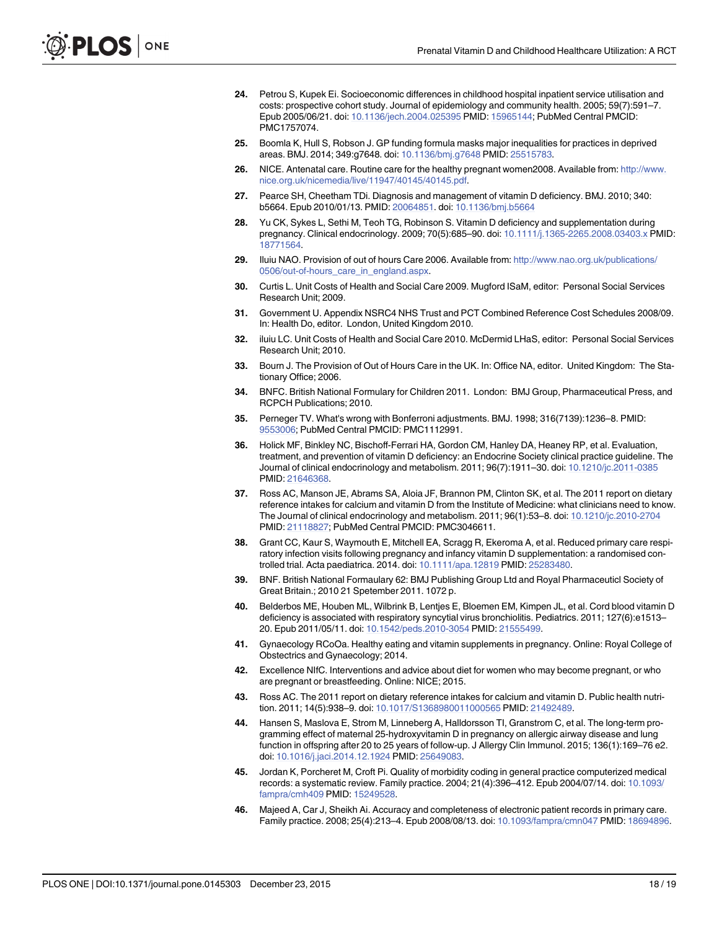- <span id="page-17-0"></span>[24.](#page-6-0) Petrou S, Kupek Ei. Socioeconomic differences in childhood hospital inpatient service utilisation and costs: prospective cohort study. Journal of epidemiology and community health. 2005; 59(7):591–7. Epub 2005/06/21. doi: [10.1136/jech.2004.025395](http://dx.doi.org/10.1136/jech.2004.025395) PMID: [15965144](http://www.ncbi.nlm.nih.gov/pubmed/15965144); PubMed Central PMCID: PMC1757074.
- [25.](#page-1-0) Boomla K, Hull S, Robson J. GP funding formula masks major inequalities for practices in deprived areas. BMJ. 2014; 349:g7648. doi: [10.1136/bmj.g7648](http://dx.doi.org/10.1136/bmj.g7648) PMID: [25515783](http://www.ncbi.nlm.nih.gov/pubmed/25515783).
- [26.](#page-2-0) NICE. Antenatal care. Routine care for the healthy pregnant women2008. Available from: [http://www.](http://www.nice.org.uk/nicemedia/live/11947/40145/40145.pdf) [nice.org.uk/nicemedia/live/11947/40145/40145.pdf.](http://www.nice.org.uk/nicemedia/live/11947/40145/40145.pdf)
- [27.](#page-2-0) Pearce SH, Cheetham TDi. Diagnosis and management of vitamin D deficiency. BMJ. 2010; 340: b5664. Epub 2010/01/13. PMID: [20064851.](http://www.ncbi.nlm.nih.gov/pubmed/20064851) doi: [10.1136/bmj.b5664](http://dx.doi.org/10.1136/bmj.b5664)
- [28.](#page-2-0) Yu CK, Sykes L, Sethi M, Teoh TG, Robinson S. Vitamin D deficiency and supplementation during pregnancy. Clinical endocrinology. 2009; 70(5):685–90. doi: [10.1111/j.1365-2265.2008.03403.x](http://dx.doi.org/10.1111/j.1365-2265.2008.03403.x) PMID: [18771564](http://www.ncbi.nlm.nih.gov/pubmed/18771564).
- [29.](#page-4-0) Iluiu NAO. Provision of out of hours Care 2006. Available from: [http://www.nao.org.uk/publications/](http://www.nao.org.uk/publications/0506/out-of-hours_care_in_england.aspx) [0506/out-of-hours\\_care\\_in\\_england.aspx](http://www.nao.org.uk/publications/0506/out-of-hours_care_in_england.aspx).
- [30.](#page-4-0) Curtis L. Unit Costs of Health and Social Care 2009. Mugford ISaM, editor: Personal Social Services Research Unit; 2009.
- [31.](#page-4-0) Government U. Appendix NSRC4 NHS Trust and PCT Combined Reference Cost Schedules 2008/09. In: Health Do, editor. London, United Kingdom 2010.
- [32.](#page-4-0) iluiu LC. Unit Costs of Health and Social Care 2010. McDermid LHaS, editor: Personal Social Services Research Unit; 2010.
- [33.](#page-5-0) Bourn J. The Provision of Out of Hours Care in the UK. In: Office NA, editor. United Kingdom: The Stationary Office; 2006.
- [34.](#page-4-0) BNFC. British National Formulary for Children 2011. London: BMJ Group, Pharmaceutical Press, and RCPCH Publications; 2010.
- [35.](#page-6-0) Perneger TV. What's wrong with Bonferroni adjustments. BMJ. 1998; 316(7139):1236–8. PMID: [9553006;](http://www.ncbi.nlm.nih.gov/pubmed/9553006) PubMed Central PMCID: PMC1112991.
- [36.](#page-9-0) Holick MF, Binkley NC, Bischoff-Ferrari HA, Gordon CM, Hanley DA, Heaney RP, et al. Evaluation, treatment, and prevention of vitamin D deficiency: an Endocrine Society clinical practice guideline. The Journal of clinical endocrinology and metabolism. 2011; 96(7):1911–30. doi: [10.1210/jc.2011-0385](http://dx.doi.org/10.1210/jc.2011-0385) PMID: [21646368.](http://www.ncbi.nlm.nih.gov/pubmed/21646368)
- [37.](#page-9-0) Ross AC, Manson JE, Abrams SA, Aloia JF, Brannon PM, Clinton SK, et al. The 2011 report on dietary reference intakes for calcium and vitamin D from the Institute of Medicine: what clinicians need to know. The Journal of clinical endocrinology and metabolism. 2011; 96(1):53–8. doi: [10.1210/jc.2010-2704](http://dx.doi.org/10.1210/jc.2010-2704) PMID: [21118827;](http://www.ncbi.nlm.nih.gov/pubmed/21118827) PubMed Central PMCID: PMC3046611.
- [38.](#page-9-0) Grant CC, Kaur S, Waymouth E, Mitchell EA, Scragg R, Ekeroma A, et al. Reduced primary care respiratory infection visits following pregnancy and infancy vitamin D supplementation: a randomised controlled trial. Acta paediatrica. 2014. doi: [10.1111/apa.12819](http://dx.doi.org/10.1111/apa.12819) PMID: [25283480.](http://www.ncbi.nlm.nih.gov/pubmed/25283480)
- [39.](#page-9-0) BNF. British National Formaulary 62: BMJ Publishing Group Ltd and Royal Pharmaceuticl Society of Great Britain.; 2010 21 Spetember 2011. 1072 p.
- [40.](#page-10-0) Belderbos ME, Houben ML, Wilbrink B, Lentjes E, Bloemen EM, Kimpen JL, et al. Cord blood vitamin D deficiency is associated with respiratory syncytial virus bronchiolitis. Pediatrics. 2011; 127(6):e1513– 20. Epub 2011/05/11. doi: [10.1542/peds.2010-3054](http://dx.doi.org/10.1542/peds.2010-3054) PMID: [21555499.](http://www.ncbi.nlm.nih.gov/pubmed/21555499)
- [41.](#page-11-0) Gynaecology RCoOa. Healthy eating and vitamin supplements in pregnancy. Online: Royal College of Obstectrics and Gynaecology; 2014.
- [42.](#page-11-0) Excellence NIfC. Interventions and advice about diet for women who may become pregnant, or who are pregnant or breastfeeding. Online: NICE; 2015.
- [43.](#page-11-0) Ross AC. The 2011 report on dietary reference intakes for calcium and vitamin D. Public health nutrition. 2011; 14(5):938–9. doi: [10.1017/S1368980011000565](http://dx.doi.org/10.1017/S1368980011000565) PMID: [21492489](http://www.ncbi.nlm.nih.gov/pubmed/21492489).
- [44.](#page-13-0) Hansen S, Maslova E, Strom M, Linneberg A, Halldorsson TI, Granstrom C, et al. The long-term programming effect of maternal 25-hydroxyvitamin D in pregnancy on allergic airway disease and lung function in offspring after 20 to 25 years of follow-up. J Allergy Clin Immunol. 2015; 136(1):169–76 e2. doi: [10.1016/j.jaci.2014.12.1924](http://dx.doi.org/10.1016/j.jaci.2014.12.1924) PMID: [25649083](http://www.ncbi.nlm.nih.gov/pubmed/25649083).
- [45.](#page-14-0) Jordan K, Porcheret M, Croft Pi. Quality of morbidity coding in general practice computerized medical records: a systematic review. Family practice. 2004; 21(4):396–412. Epub 2004/07/14. doi: [10.1093/](http://dx.doi.org/10.1093/fampra/cmh409) [fampra/cmh409](http://dx.doi.org/10.1093/fampra/cmh409) PMID: [15249528](http://www.ncbi.nlm.nih.gov/pubmed/15249528).
- [46.](#page-14-0) Majeed A, Car J, Sheikh Ai. Accuracy and completeness of electronic patient records in primary care. Family practice. 2008; 25(4):213–4. Epub 2008/08/13. doi: [10.1093/fampra/cmn047](http://dx.doi.org/10.1093/fampra/cmn047) PMID: [18694896](http://www.ncbi.nlm.nih.gov/pubmed/18694896).